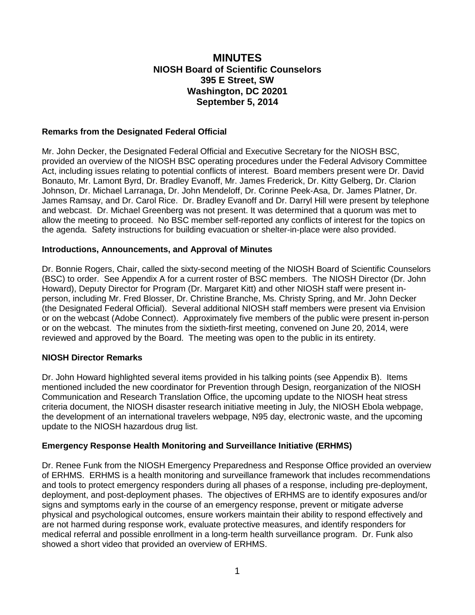## **MINUTES NIOSH Board of Scientific Counselors 395 E Street, SW Washington, DC 20201 September 5, 2014**

### **Remarks from the Designated Federal Official**

Mr. John Decker, the Designated Federal Official and Executive Secretary for the NIOSH BSC, provided an overview of the NIOSH BSC operating procedures under the Federal Advisory Committee Act, including issues relating to potential conflicts of interest. Board members present were Dr. David Bonauto, Mr. Lamont Byrd, Dr. Bradley Evanoff, Mr. James Frederick, Dr. Kitty Gelberg, Dr. Clarion Johnson, Dr. Michael Larranaga, Dr. John Mendeloff, Dr. Corinne Peek-Asa, Dr. James Platner, Dr. James Ramsay, and Dr. Carol Rice. Dr. Bradley Evanoff and Dr. Darryl Hill were present by telephone and webcast. Dr. Michael Greenberg was not present. It was determined that a quorum was met to allow the meeting to proceed. No BSC member self-reported any conflicts of interest for the topics on the agenda. Safety instructions for building evacuation or shelter-in-place were also provided.

### **Introductions, Announcements, and Approval of Minutes**

Dr. Bonnie Rogers, Chair, called the sixty-second meeting of the NIOSH Board of Scientific Counselors (BSC) to order. See Appendix A for a current roster of BSC members. The NIOSH Director (Dr. John Howard), Deputy Director for Program (Dr. Margaret Kitt) and other NIOSH staff were present inperson, including Mr. Fred Blosser, Dr. Christine Branche, Ms. Christy Spring, and Mr. John Decker (the Designated Federal Official). Several additional NIOSH staff members were present via Envision or on the webcast (Adobe Connect). Approximately five members of the public were present in-person or on the webcast. The minutes from the sixtieth-first meeting, convened on June 20, 2014, were reviewed and approved by the Board. The meeting was open to the public in its entirety.

### **NIOSH Director Remarks**

Dr. John Howard highlighted several items provided in his talking points (see Appendix B). Items mentioned included the new coordinator for Prevention through Design, reorganization of the NIOSH Communication and Research Translation Office, the upcoming update to the NIOSH heat stress criteria document, the NIOSH disaster research initiative meeting in July, the NIOSH Ebola webpage, the development of an international travelers webpage, N95 day, electronic waste, and the upcoming update to the NIOSH hazardous drug list.

### **Emergency Response Health Monitoring and Surveillance Initiative (ERHMS)**

Dr. Renee Funk from the NIOSH Emergency Preparedness and Response Office provided an overview of ERHMS. ERHMS is a health monitoring and surveillance framework that includes recommendations and tools to protect emergency responders during all phases of a response, including pre-deployment, deployment, and post-deployment phases. The objectives of ERHMS are to identify exposures and/or signs and symptoms early in the course of an emergency response, prevent or mitigate adverse physical and psychological outcomes, ensure workers maintain their ability to respond effectively and are not harmed during response work, evaluate protective measures, and identify responders for medical referral and possible enrollment in a long-term health surveillance program. Dr. Funk also showed a short video that provided an overview of ERHMS.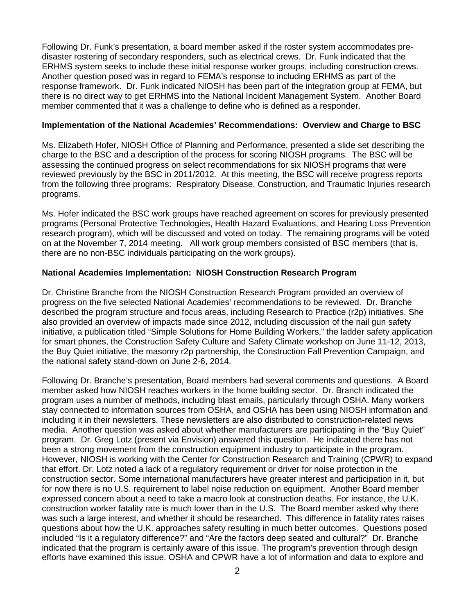Following Dr. Funk's presentation, a board member asked if the roster system accommodates predisaster rostering of secondary responders, such as electrical crews. Dr. Funk indicated that the ERHMS system seeks to include these initial response worker groups, including construction crews. Another question posed was in regard to FEMA's response to including ERHMS as part of the response framework. Dr. Funk indicated NIOSH has been part of the integration group at FEMA, but there is no direct way to get ERHMS into the National Incident Management System. Another Board member commented that it was a challenge to define who is defined as a responder.

### **Implementation of the National Academies' Recommendations: Overview and Charge to BSC**

Ms. Elizabeth Hofer, NIOSH Office of Planning and Performance, presented a slide set describing the charge to the BSC and a description of the process for scoring NIOSH programs. The BSC will be assessing the continued progress on select recommendations for six NIOSH programs that were reviewed previously by the BSC in 2011/2012. At this meeting, the BSC will receive progress reports from the following three programs: Respiratory Disease, Construction, and Traumatic Injuries research programs.

Ms. Hofer indicated the BSC work groups have reached agreement on scores for previously presented programs (Personal Protective Technologies, Health Hazard Evaluations, and Hearing Loss Prevention research program), which will be discussed and voted on today. The remaining programs will be voted on at the November 7, 2014 meeting. All work group members consisted of BSC members (that is, there are no non-BSC individuals participating on the work groups).

### **National Academies Implementation: NIOSH Construction Research Program**

Dr. Christine Branche from the NIOSH Construction Research Program provided an overview of progress on the five selected National Academies' recommendations to be reviewed. Dr. Branche described the program structure and focus areas, including Research to Practice (r2p) initiatives. She also provided an overview of impacts made since 2012, including discussion of the nail gun safety initiative, a publication titled "Simple Solutions for Home Building Workers," the ladder safety application for smart phones, the Construction Safety Culture and Safety Climate workshop on June 11-12, 2013, the Buy Quiet initiative, the masonry r2p partnership, the Construction Fall Prevention Campaign, and the national safety stand-down on June 2-6, 2014.

Following Dr. Branche's presentation, Board members had several comments and questions. A Board member asked how NIOSH reaches workers in the home building sector. Dr. Branch indicated the program uses a number of methods, including blast emails, particularly through OSHA. Many workers stay connected to information sources from OSHA, and OSHA has been using NIOSH information and including it in their newsletters. These newsletters are also distributed to construction-related news media. Another question was asked about whether manufacturers are participating in the "Buy Quiet" program. Dr. Greg Lotz (present via Envision) answered this question. He indicated there has not been a strong movement from the construction equipment industry to participate in the program. However, NIOSH is working with the Center for Construction Research and Training (CPWR) to expand that effort. Dr. Lotz noted a lack of a regulatory requirement or driver for noise protection in the construction sector. Some international manufacturers have greater interest and participation in it, but for now there is no U.S. requirement to label noise reduction on equipment. Another Board member expressed concern about a need to take a macro look at construction deaths. For instance, the U.K. construction worker fatality rate is much lower than in the U.S. The Board member asked why there was such a large interest, and whether it should be researched. This difference in fatality rates raises questions about how the U.K. approaches safety resulting in much better outcomes. Questions posed included "Is it a regulatory difference?" and "Are the factors deep seated and cultural?" Dr. Branche indicated that the program is certainly aware of this issue. The program's prevention through design efforts have examined this issue. OSHA and CPWR have a lot of information and data to explore and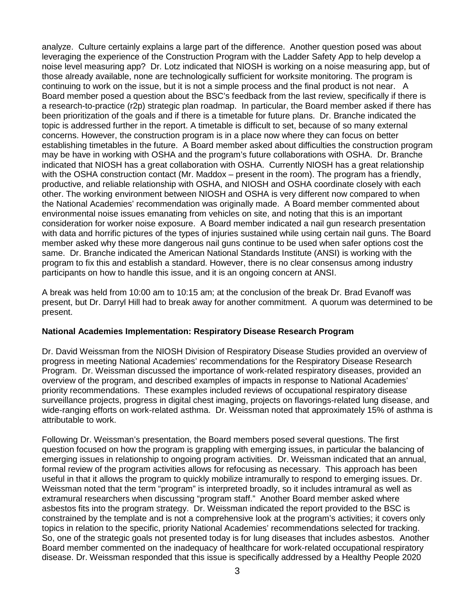analyze. Culture certainly explains a large part of the difference. Another question posed was about leveraging the experience of the Construction Program with the Ladder Safety App to help develop a noise level measuring app? Dr. Lotz indicated that NIOSH is working on a noise measuring app, but of those already available, none are technologically sufficient for worksite monitoring. The program is continuing to work on the issue, but it is not a simple process and the final product is not near. A Board member posed a question about the BSC's feedback from the last review, specifically if there is a research-to-practice (r2p) strategic plan roadmap. In particular, the Board member asked if there has been prioritization of the goals and if there is a timetable for future plans. Dr. Branche indicated the topic is addressed further in the report. A timetable is difficult to set, because of so many external concerns. However, the construction program is in a place now where they can focus on better establishing timetables in the future. A Board member asked about difficulties the construction program may be have in working with OSHA and the program's future collaborations with OSHA. Dr. Branche indicated that NIOSH has a great collaboration with OSHA. Currently NIOSH has a great relationship with the OSHA construction contact (Mr. Maddox – present in the room). The program has a friendly, productive, and reliable relationship with OSHA, and NIOSH and OSHA coordinate closely with each other. The working environment between NIOSH and OSHA is very different now compared to when the National Academies' recommendation was originally made. A Board member commented about environmental noise issues emanating from vehicles on site, and noting that this is an important consideration for worker noise exposure. A Board member indicated a nail gun research presentation with data and horrific pictures of the types of injuries sustained while using certain nail guns. The Board member asked why these more dangerous nail guns continue to be used when safer options cost the same. Dr. Branche indicated the American National Standards Institute (ANSI) is working with the program to fix this and establish a standard. However, there is no clear consensus among industry participants on how to handle this issue, and it is an ongoing concern at ANSI.

A break was held from 10:00 am to 10:15 am; at the conclusion of the break Dr. Brad Evanoff was present, but Dr. Darryl Hill had to break away for another commitment. A quorum was determined to be present.

### **National Academies Implementation: Respiratory Disease Research Program**

Dr. David Weissman from the NIOSH Division of Respiratory Disease Studies provided an overview of progress in meeting National Academies' recommendations for the Respiratory Disease Research Program. Dr. Weissman discussed the importance of work-related respiratory diseases, provided an overview of the program, and described examples of impacts in response to National Academies' priority recommendations. These examples included reviews of occupational respiratory disease surveillance projects, progress in digital chest imaging, projects on flavorings-related lung disease, and wide-ranging efforts on work-related asthma. Dr. Weissman noted that approximately 15% of asthma is attributable to work.

Following Dr. Weissman's presentation, the Board members posed several questions. The first question focused on how the program is grappling with emerging issues, in particular the balancing of emerging issues in relationship to ongoing program activities. Dr. Weissman indicated that an annual, formal review of the program activities allows for refocusing as necessary. This approach has been useful in that it allows the program to quickly mobilize intramurally to respond to emerging issues. Dr. Weissman noted that the term "program" is interpreted broadly, so it includes intramural as well as extramural researchers when discussing "program staff." Another Board member asked where asbestos fits into the program strategy. Dr. Weissman indicated the report provided to the BSC is constrained by the template and is not a comprehensive look at the program's activities; it covers only topics in relation to the specific, priority National Academies' recommendations selected for tracking. So, one of the strategic goals not presented today is for lung diseases that includes asbestos. Another Board member commented on the inadequacy of healthcare for work-related occupational respiratory disease. Dr. Weissman responded that this issue is specifically addressed by a Healthy People 2020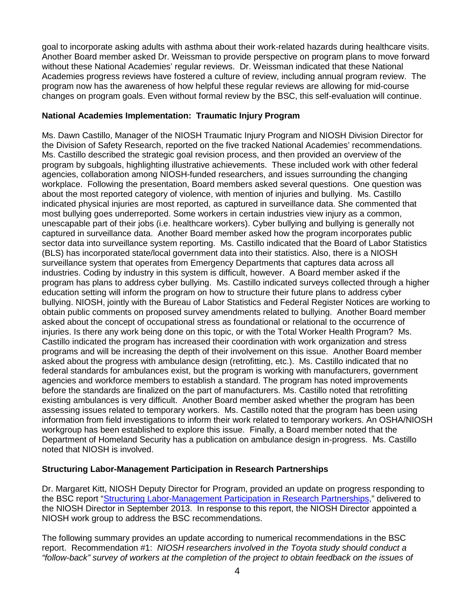goal to incorporate asking adults with asthma about their work-related hazards during healthcare visits. Another Board member asked Dr. Weissman to provide perspective on program plans to move forward without these National Academies' regular reviews. Dr. Weissman indicated that these National Academies progress reviews have fostered a culture of review, including annual program review. The program now has the awareness of how helpful these regular reviews are allowing for mid-course changes on program goals. Even without formal review by the BSC, this self-evaluation will continue.

### **National Academies Implementation: Traumatic Injury Program**

Ms. Dawn Castillo, Manager of the NIOSH Traumatic Injury Program and NIOSH Division Director for the Division of Safety Research, reported on the five tracked National Academies' recommendations. Ms. Castillo described the strategic goal revision process, and then provided an overview of the program by subgoals, highlighting illustrative achievements. These included work with other federal agencies, collaboration among NIOSH-funded researchers, and issues surrounding the changing workplace. Following the presentation, Board members asked several questions. One question was about the most reported category of violence, with mention of injuries and bullying. Ms. Castillo indicated physical injuries are most reported, as captured in surveillance data. She commented that most bullying goes underreported. Some workers in certain industries view injury as a common, unescapable part of their jobs (i.e. healthcare workers). Cyber bullying and bullying is generally not captured in surveillance data. Another Board member asked how the program incorporates public sector data into surveillance system reporting. Ms. Castillo indicated that the Board of Labor Statistics (BLS) has incorporated state/local government data into their statistics. Also, there is a NIOSH surveillance system that operates from Emergency Departments that captures data across all industries. Coding by industry in this system is difficult, however. A Board member asked if the program has plans to address cyber bullying. Ms. Castillo indicated surveys collected through a higher education setting will inform the program on how to structure their future plans to address cyber bullying. NIOSH, jointly with the Bureau of Labor Statistics and Federal Register Notices are working to obtain public comments on proposed survey amendments related to bullying. Another Board member asked about the concept of occupational stress as foundational or relational to the occurrence of injuries. Is there any work being done on this topic, or with the Total Worker Health Program? Ms. Castillo indicated the program has increased their coordination with work organization and stress programs and will be increasing the depth of their involvement on this issue. Another Board member asked about the progress with ambulance design (retrofitting, etc.). Ms. Castillo indicated that no federal standards for ambulances exist, but the program is working with manufacturers, government agencies and workforce members to establish a standard. The program has noted improvements before the standards are finalized on the part of manufacturers. Ms. Castillo noted that retrofitting existing ambulances is very difficult. Another Board member asked whether the program has been assessing issues related to temporary workers. Ms. Castillo noted that the program has been using information from field investigations to inform their work related to temporary workers. An OSHA/NIOSH workgroup has been established to explore this issue. Finally, a Board member noted that the Department of Homeland Security has a publication on ambulance design in-progress. Ms. Castillo noted that NIOSH is involved.

### **Structuring Labor-Management Participation in Research Partnerships**

Dr. Margaret Kitt, NIOSH Deputy Director for Program, provided an update on progress responding to the BSC report ["Structuring Labor-Management Participation in Research Partnerships,](http://www.cdc.gov/niosh/BSC/pdfs/WorkGroupReport09182013FINAL.pdf)" delivered to the NIOSH Director in September 2013. In response to this report, the NIOSH Director appointed a NIOSH work group to address the BSC recommendations.

The following summary provides an update according to numerical recommendations in the BSC report. Recommendation #1: *NIOSH researchers involved in the Toyota study should conduct a "follow-back" survey of workers at the completion of the project to obtain feedback on the issues of*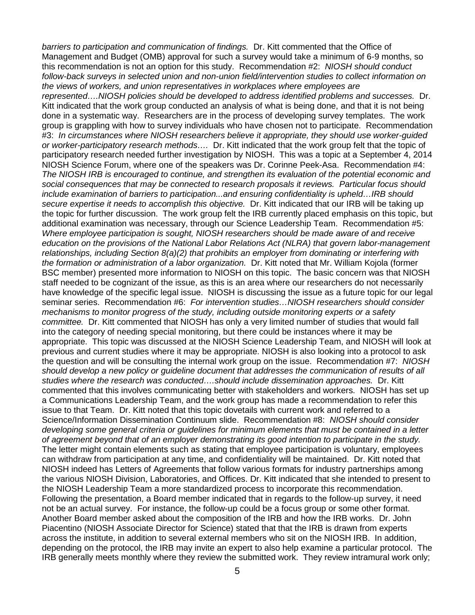*barriers to participation and communication of findings.* Dr. Kitt commented that the Office of Management and Budget (OMB) approval for such a survey would take a minimum of 6-9 months, so this recommendation is not an option for this study. Recommendation #2: *NIOSH should conduct follow-back surveys in selected union and non-union field/intervention studies to collect information on the views of workers, and union representatives in workplaces where employees are represented….NIOSH policies should be developed to address identified problems and successes.* Dr. Kitt indicated that the work group conducted an analysis of what is being done, and that it is not being done in a systematic way. Researchers are in the process of developing survey templates. The work group is grappling with how to survey individuals who have chosen not to participate. Recommendation #3: *In circumstances where NIOSH researchers believe it appropriate, they should use worker-guided or worker-participatory research methods….* Dr. Kitt indicated that the work group felt that the topic of participatory research needed further investigation by NIOSH. This was a topic at a September 4, 2014 NIOSH Science Forum, where one of the speakers was Dr. Corinne Peek-Asa. Recommendation #4: *The NIOSH IRB is encouraged to continue, and strengthen its evaluation of the potential economic and social consequences that may be connected to research proposals it reviews. Particular focus should include examination of barriers to participation...and ensuring confidentiality is upheld…IRB should secure expertise it needs to accomplish this objective.* Dr. Kitt indicated that our IRB will be taking up the topic for further discussion. The work group felt the IRB currently placed emphasis on this topic, but additional examination was necessary, through our Science Leadership Team. Recommendation #5: *Where employee participation is sought, NIOSH researchers should be made aware of and receive education on the provisions of the National Labor Relations Act (NLRA) that govern labor-management relationships, including Section 8(a)(2) that prohibits an employer from dominating or interfering with the formation or administration of a labor organization.* Dr. Kitt noted that Mr. William Kojola (former BSC member) presented more information to NIOSH on this topic. The basic concern was that NIOSH staff needed to be cognizant of the issue, as this is an area where our researchers do not necessarily have knowledge of the specific legal issue. NIOSH is discussing the issue as a future topic for our legal seminar series. Recommendation #6: *For intervention studies…NIOSH researchers should consider mechanisms to monitor progress of the study, including outside monitoring experts or a safety committee.* Dr. Kitt commented that NIOSH has only a very limited number of studies that would fall into the category of needing special monitoring, but there could be instances where it may be appropriate. This topic was discussed at the NIOSH Science Leadership Team, and NIOSH will look at previous and current studies where it may be appropriate. NIOSH is also looking into a protocol to ask the question and will be consulting the internal work group on the issue. Recommendation #7: *NIOSH should develop a new policy or guideline document that addresses the communication of results of all studies where the research was conducted….should include dissemination approaches.* Dr. Kitt commented that this involves communicating better with stakeholders and workers. NIOSH has set up a Communications Leadership Team, and the work group has made a recommendation to refer this issue to that Team. Dr. Kitt noted that this topic dovetails with current work and referred to a Science/Information Dissemination Continuum slide. Recommendation #8: *NIOSH should consider developing some general criteria or guidelines for minimum elements that must be contained in a letter of agreement beyond that of an employer demonstrating its good intention to participate in the study.* The letter might contain elements such as stating that employee participation is voluntary, employees can withdraw from participation at any time, and confidentiality will be maintained. Dr. Kitt noted that NIOSH indeed has Letters of Agreements that follow various formats for industry partnerships among the various NIOSH Division, Laboratories, and Offices. Dr. Kitt indicated that she intended to present to the NIOSH Leadership Team a more standardized process to incorporate this recommendation. Following the presentation, a Board member indicated that in regards to the follow-up survey, it need not be an actual survey. For instance, the follow-up could be a focus group or some other format. Another Board member asked about the composition of the IRB and how the IRB works. Dr. John Piacentino (NIOSH Associate Director for Science) stated that that the IRB is drawn from experts across the institute, in addition to several external members who sit on the NIOSH IRB. In addition, depending on the protocol, the IRB may invite an expert to also help examine a particular protocol. The IRB generally meets monthly where they review the submitted work. They review intramural work only;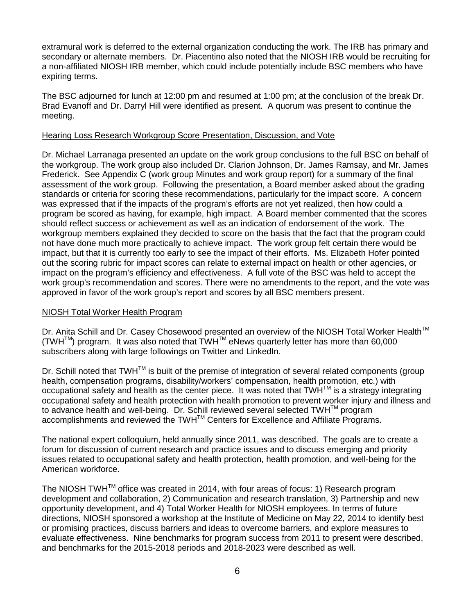extramural work is deferred to the external organization conducting the work. The IRB has primary and secondary or alternate members. Dr. Piacentino also noted that the NIOSH IRB would be recruiting for a non-affiliated NIOSH IRB member, which could include potentially include BSC members who have expiring terms.

The BSC adjourned for lunch at 12:00 pm and resumed at 1:00 pm; at the conclusion of the break Dr. Brad Evanoff and Dr. Darryl Hill were identified as present. A quorum was present to continue the meeting.

### Hearing Loss Research Workgroup Score Presentation, Discussion, and Vote

Dr. Michael Larranaga presented an update on the work group conclusions to the full BSC on behalf of the workgroup. The work group also included Dr. Clarion Johnson, Dr. James Ramsay, and Mr. James Frederick. See Appendix C (work group Minutes and work group report) for a summary of the final assessment of the work group. Following the presentation, a Board member asked about the grading standards or criteria for scoring these recommendations, particularly for the impact score. A concern was expressed that if the impacts of the program's efforts are not yet realized, then how could a program be scored as having, for example, high impact. A Board member commented that the scores should reflect success or achievement as well as an indication of endorsement of the work. The workgroup members explained they decided to score on the basis that the fact that the program could not have done much more practically to achieve impact. The work group felt certain there would be impact, but that it is currently too early to see the impact of their efforts. Ms. Elizabeth Hofer pointed out the scoring rubric for impact scores can relate to external impact on health or other agencies, or impact on the program's efficiency and effectiveness. A full vote of the BSC was held to accept the work group's recommendation and scores. There were no amendments to the report, and the vote was approved in favor of the work group's report and scores by all BSC members present.

### NIOSH Total Worker Health Program

Dr. Anita Schill and Dr. Casey Chosewood presented an overview of the NIOSH Total Worker Health™  $(TWH^{TM})$  program. It was also noted that  $TWH^{TM}$  eNews quarterly letter has more than 60,000 subscribers along with large followings on Twitter and LinkedIn.

Dr. Schill noted that TWH<sup>™</sup> is built of the premise of integration of several related components (group health, compensation programs, disability/workers' compensation, health promotion, etc.) with occupational safety and health as the center piece. It was noted that TWH™ is a strategy integrating occupational safety and health protection with health promotion to prevent worker injury and illness and to advance health and well-being. Dr. Schill reviewed several selected TWH™ program accomplishments and reviewed the TWH™ Centers for Excellence and Affiliate Programs.

The national expert colloquium, held annually since 2011, was described. The goals are to create a forum for discussion of current research and practice issues and to discuss emerging and priority issues related to occupational safety and health protection, health promotion, and well-being for the American workforce.

The NIOSH TWH™ office was created in 2014, with four areas of focus: 1) Research program development and collaboration, 2) Communication and research translation, 3) Partnership and new opportunity development, and 4) Total Worker Health for NIOSH employees. In terms of future directions, NIOSH sponsored a workshop at the Institute of Medicine on May 22, 2014 to identify best or promising practices, discuss barriers and ideas to overcome barriers, and explore measures to evaluate effectiveness. Nine benchmarks for program success from 2011 to present were described, and benchmarks for the 2015-2018 periods and 2018-2023 were described as well.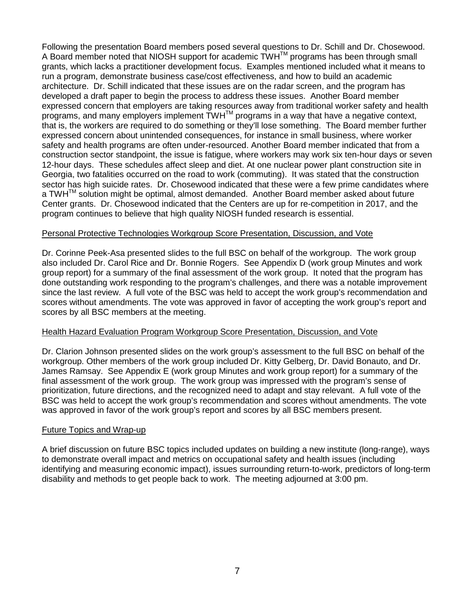Following the presentation Board members posed several questions to Dr. Schill and Dr. Chosewood. A Board member noted that NIOSH support for academic  $TWH^{TM}$  programs has been through small grants, which lacks a practitioner development focus. Examples mentioned included what it means to run a program, demonstrate business case/cost effectiveness, and how to build an academic architecture. Dr. Schill indicated that these issues are on the radar screen, and the program has developed a draft paper to begin the process to address these issues. Another Board member expressed concern that employers are taking resources away from traditional worker safety and health programs, and many employers implement TWH™ programs in a way that have a negative context, that is, the workers are required to do something or they'll lose something. The Board member further expressed concern about unintended consequences, for instance in small business, where worker safety and health programs are often under-resourced. Another Board member indicated that from a construction sector standpoint, the issue is fatigue, where workers may work six ten-hour days or seven 12-hour days. These schedules affect sleep and diet. At one nuclear power plant construction site in Georgia, two fatalities occurred on the road to work (commuting). It was stated that the construction sector has high suicide rates. Dr. Chosewood indicated that these were a few prime candidates where a TWH $^{TM}$  solution might be optimal, almost demanded. Another Board member asked about future Center grants. Dr. Chosewood indicated that the Centers are up for re-competition in 2017, and the program continues to believe that high quality NIOSH funded research is essential.

### Personal Protective Technologies Workgroup Score Presentation, Discussion, and Vote

Dr. Corinne Peek-Asa presented slides to the full BSC on behalf of the workgroup. The work group also included Dr. Carol Rice and Dr. Bonnie Rogers. See Appendix D (work group Minutes and work group report) for a summary of the final assessment of the work group. It noted that the program has done outstanding work responding to the program's challenges, and there was a notable improvement since the last review. A full vote of the BSC was held to accept the work group's recommendation and scores without amendments. The vote was approved in favor of accepting the work group's report and scores by all BSC members at the meeting.

### Health Hazard Evaluation Program Workgroup Score Presentation, Discussion, and Vote

Dr. Clarion Johnson presented slides on the work group's assessment to the full BSC on behalf of the workgroup. Other members of the work group included Dr. Kitty Gelberg, Dr. David Bonauto, and Dr. James Ramsay. See Appendix E (work group Minutes and work group report) for a summary of the final assessment of the work group. The work group was impressed with the program's sense of prioritization, future directions, and the recognized need to adapt and stay relevant. A full vote of the BSC was held to accept the work group's recommendation and scores without amendments. The vote was approved in favor of the work group's report and scores by all BSC members present.

### Future Topics and Wrap-up

A brief discussion on future BSC topics included updates on building a new institute (long-range), ways to demonstrate overall impact and metrics on occupational safety and health issues (including identifying and measuring economic impact), issues surrounding return-to-work, predictors of long-term disability and methods to get people back to work. The meeting adjourned at 3:00 pm.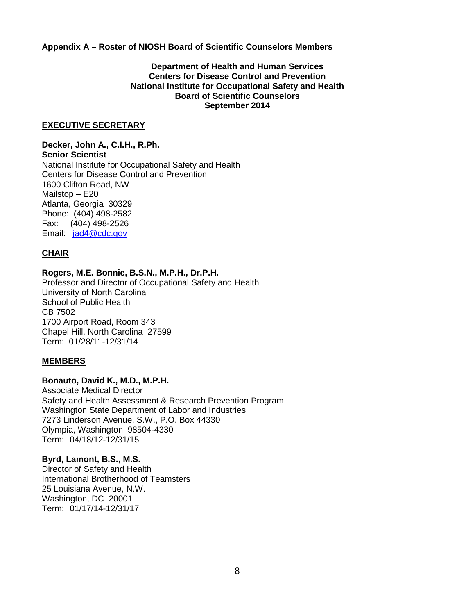**Appendix A – Roster of NIOSH Board of Scientific Counselors Members**

### **Department of Health and Human Services Centers for Disease Control and Prevention National Institute for Occupational Safety and Health Board of Scientific Counselors September 2014**

### **EXECUTIVE SECRETARY**

**Decker, John A., C.I.H., R.Ph. Senior Scientist** National Institute for Occupational Safety and Health Centers for Disease Control and Prevention 1600 Clifton Road, NW Mailstop – E20 Atlanta, Georgia 30329 Phone: (404) 498-2582 Fax: (404) 498-2526 Email: [jad4@cdc.gov](mailto:jad4@cdc.gov)

### **CHAIR**

### **Rogers, M.E. Bonnie, B.S.N., M.P.H., Dr.P.H.**

Professor and Director of Occupational Safety and Health University of North Carolina School of Public Health CB 7502 1700 Airport Road, Room 343 Chapel Hill, North Carolina 27599 Term: 01/28/11-12/31/14

### **MEMBERS**

### **Bonauto, David K., M.D., M.P.H.**

Associate Medical Director Safety and Health Assessment & Research Prevention Program Washington State Department of Labor and Industries 7273 Linderson Avenue, S.W., P.O. Box 44330 Olympia, Washington 98504-4330 Term: 04/18/12-12/31/15

### **Byrd, Lamont, B.S., M.S.**

Director of Safety and Health International Brotherhood of Teamsters 25 Louisiana Avenue, N.W. Washington, DC 20001 Term: 01/17/14-12/31/17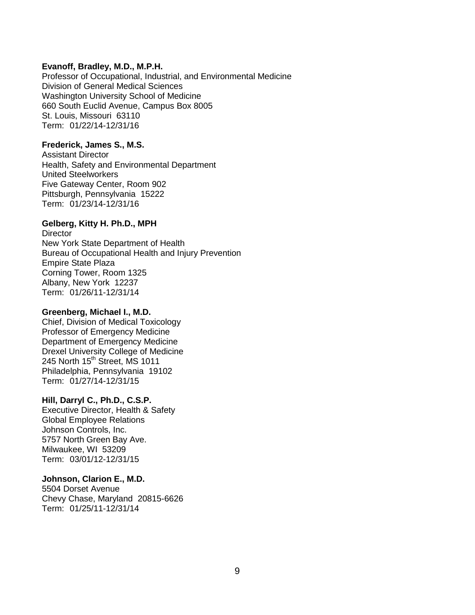### **Evanoff, Bradley, M.D., M.P.H.**

Professor of Occupational, Industrial, and Environmental Medicine Division of General Medical Sciences Washington University School of Medicine 660 South Euclid Avenue, Campus Box 8005 St. Louis, Missouri 63110 Term: 01/22/14-12/31/16

### **Frederick, James S., M.S.**

Assistant Director Health, Safety and Environmental Department United Steelworkers Five Gateway Center, Room 902 Pittsburgh, Pennsylvania 15222 Term: 01/23/14-12/31/16

### **Gelberg, Kitty H. Ph.D., MPH**

**Director** New York State Department of Health Bureau of Occupational Health and Injury Prevention Empire State Plaza Corning Tower, Room 1325 Albany, New York 12237 Term: 01/26/11-12/31/14

### **Greenberg, Michael I., M.D.**

Chief, Division of Medical Toxicology Professor of Emergency Medicine Department of Emergency Medicine Drexel University College of Medicine 245 North 15<sup>th</sup> Street, MS 1011 Philadelphia, Pennsylvania 19102 Term: 01/27/14-12/31/15

### **Hill, Darryl C., Ph.D., C.S.P.**

Executive Director, Health & Safety Global Employee Relations Johnson Controls, Inc. 5757 North Green Bay Ave. Milwaukee, WI 53209 Term: 03/01/12-12/31/15

### **Johnson, Clarion E., M.D.**

5504 Dorset Avenue Chevy Chase, Maryland 20815-6626 Term: 01/25/11-12/31/14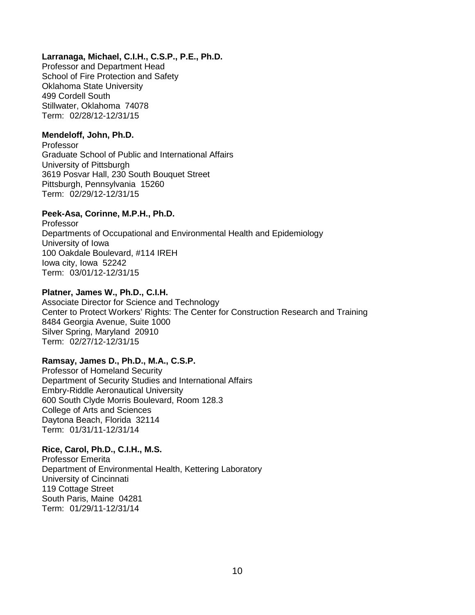### **Larranaga, Michael, C.I.H., C.S.P., P.E., Ph.D.**

Professor and Department Head School of Fire Protection and Safety Oklahoma State University 499 Cordell South Stillwater, Oklahoma 74078 Term: 02/28/12-12/31/15

### **Mendeloff, John, Ph.D.**

Professor Graduate School of Public and International Affairs University of Pittsburgh 3619 Posvar Hall, 230 South Bouquet Street Pittsburgh, Pennsylvania 15260 Term: 02/29/12-12/31/15

## **Peek-Asa, Corinne, M.P.H., Ph.D.**

Professor Departments of Occupational and Environmental Health and Epidemiology University of Iowa 100 Oakdale Boulevard, #114 IREH Iowa city, Iowa 52242 Term: 03/01/12-12/31/15

### **Platner, James W., Ph.D., C.I.H.**

Associate Director for Science and Technology Center to Protect Workers' Rights: The Center for Construction Research and Training 8484 Georgia Avenue, Suite 1000 Silver Spring, Maryland 20910 Term: 02/27/12-12/31/15

## **Ramsay, James D., Ph.D., M.A., C.S.P.**

Professor of Homeland Security Department of Security Studies and International Affairs Embry-Riddle Aeronautical University 600 South Clyde Morris Boulevard, Room 128.3 College of Arts and Sciences Daytona Beach, Florida 32114 Term: 01/31/11-12/31/14

## **Rice, Carol, Ph.D., C.I.H., M.S.**

Professor Emerita Department of Environmental Health, Kettering Laboratory University of Cincinnati 119 Cottage Street South Paris, Maine 04281 Term: 01/29/11-12/31/14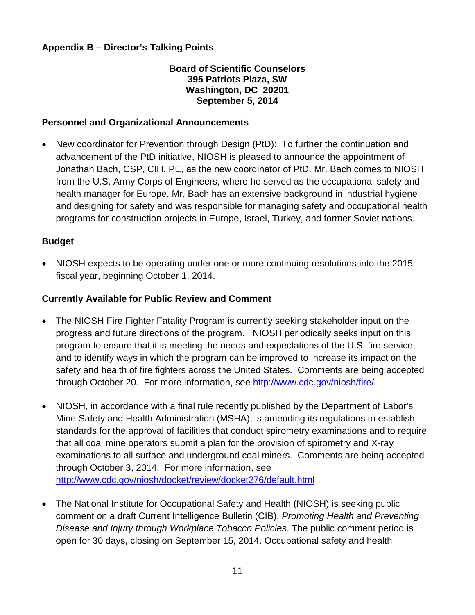## **Appendix B – Director's Talking Points**

## **Board of Scientific Counselors 395 Patriots Plaza, SW Washington, DC 20201 September 5, 2014**

## **Personnel and Organizational Announcements**

• New coordinator for Prevention through Design (PtD): To further the continuation and advancement of the PtD initiative, NIOSH is pleased to announce the appointment of Jonathan Bach, CSP, CIH, PE, as the new coordinator of PtD. Mr. Bach comes to NIOSH from the U.S. Army Corps of Engineers, where he served as the occupational safety and health manager for Europe. Mr. Bach has an extensive background in industrial hygiene and designing for safety and was responsible for managing safety and occupational health programs for construction projects in Europe, Israel, Turkey, and former Soviet nations.

## **Budget**

• NIOSH expects to be operating under one or more continuing resolutions into the 2015 fiscal year, beginning October 1, 2014.

## **Currently Available for Public Review and Comment**

- The NIOSH Fire Fighter Fatality Program is currently seeking stakeholder input on the progress and future directions of the program. NIOSH periodically seeks input on this program to ensure that it is meeting the needs and expectations of the U.S. fire service, and to identify ways in which the program can be improved to increase its impact on the safety and health of fire fighters across the United States. Comments are being accepted through October 20. For more information, see<http://www.cdc.gov/niosh/fire/>
- NIOSH, in accordance with a final rule recently published by the Department of Labor's Mine Safety and Health Administration (MSHA), is amending its regulations to establish standards for the approval of facilities that conduct spirometry examinations and to require that all coal mine operators submit a plan for the provision of spirometry and X-ray examinations to all surface and underground coal miners. Comments are being accepted through October 3, 2014. For more information, see <http://www.cdc.gov/niosh/docket/review/docket276/default.html>
- The National Institute for Occupational Safety and Health (NIOSH) is seeking public comment on a draft Current Intelligence Bulletin (CIB), *Promoting Health and Preventing Disease and Injury through Workplace Tobacco Policies*. The public comment period is open for 30 days, closing on September 15, 2014. Occupational safety and health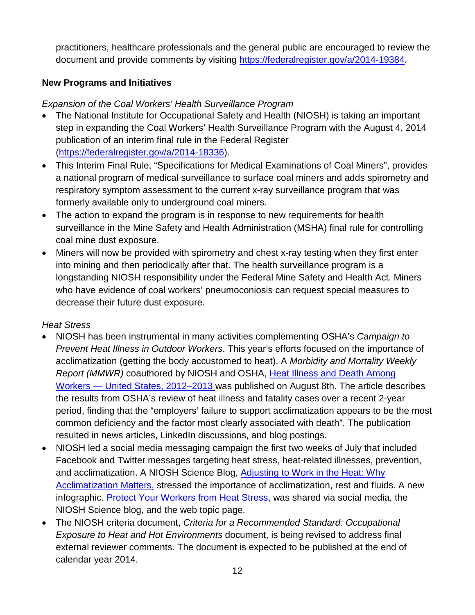practitioners, healthcare professionals and the general public are encouraged to review the document and provide comments by visiting [https://federalregister.gov/a/2014-19384.](https://federalregister.gov/a/2014-19384)

# **New Programs and Initiatives**

# *Expansion of the Coal Workers' Health Surveillance Program*

- The National Institute for Occupational Safety and Health (NIOSH) is taking an important step in expanding the Coal Workers' Health Surveillance Program with the August 4, 2014 publication of an interim final rule in the Federal Register [\(https://federalregister.gov/a/2014-18336\)](https://federalregister.gov/a/2014-18336).
- This Interim Final Rule, "Specifications for Medical Examinations of Coal Miners", provides a national program of medical surveillance to surface coal miners and adds spirometry and respiratory symptom assessment to the current x-ray surveillance program that was formerly available only to underground coal miners.
- The action to expand the program is in response to new requirements for health surveillance in the Mine Safety and Health Administration (MSHA) final rule for controlling coal mine dust exposure.
- Miners will now be provided with spirometry and chest x-ray testing when they first enter into mining and then periodically after that. The health surveillance program is a longstanding NIOSH responsibility under the Federal Mine Safety and Health Act. Miners who have evidence of coal workers' pneumoconiosis can request special measures to decrease their future dust exposure.

# *Heat Stress*

- NIOSH has been instrumental in many activities complementing OSHA's *Campaign to Prevent Heat Illness in Outdoor Workers*. This year's efforts focused on the importance of acclimatization (getting the body accustomed to heat). A *Morbidity and Mortality Weekly Report (MMWR)* coauthored by NIOSH and OSHA, [Heat Illness and Death Among](http://www.cdc.gov/mmwr/preview/mmwrhtml/mm6331a1.htm?s_cid=mm6331a1_e)  Workers — [United States, 2012–2013](http://www.cdc.gov/mmwr/preview/mmwrhtml/mm6331a1.htm?s_cid=mm6331a1_e) was published on August 8th. The article describes the results from OSHA's review of heat illness and fatality cases over a recent 2-year period, finding that the "employers' failure to support acclimatization appears to be the most common deficiency and the factor most clearly associated with death". The publication resulted in news articles, LinkedIn discussions, and blog postings.
- NIOSH led a social media messaging campaign the first two weeks of July that included Facebook and Twitter messages targeting heat stress, heat-related illnesses, prevention, and acclimatization. A NIOSH Science Blog, [Adjusting to Work in the Heat: Why](http://blogs.cdc.gov/niosh-science-blog/2014/07/14/acclimatization/)  [Acclimatization Matters,](http://blogs.cdc.gov/niosh-science-blog/2014/07/14/acclimatization/) stressed the importance of acclimatization, rest and fluids. A new infographic. [Protect Your Workers from Heat Stress,](http://www.cdc.gov/niosh/topics/heatstress/infographic.html) was shared via social media, the NIOSH Science blog, and the web topic page.
- The NIOSH criteria document, *Criteria for a Recommended Standard: Occupational Exposure to Heat and Hot Environments* document, is being revised to address final external reviewer comments. The document is expected to be published at the end of calendar year 2014.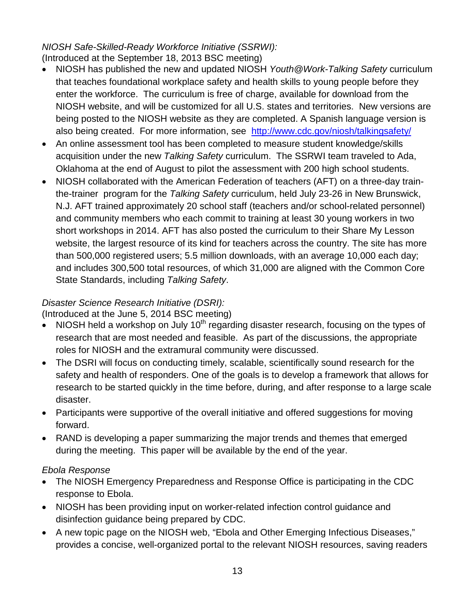# *NIOSH Safe-Skilled-Ready Workforce Initiative (SSRWI):*  (Introduced at the September 18, 2013 BSC meeting)

- NIOSH has published the new and updated NIOSH *Youth@Work-Talking Safety* curriculum that teaches foundational workplace safety and health skills to young people before they enter the workforce. The curriculum is free of charge, available for download from the NIOSH website, and will be customized for all U.S. states and territories. New versions are being posted to the NIOSH website as they are completed. A Spanish language version is also being created. For more information, see <http://www.cdc.gov/niosh/talkingsafety/>
- An online assessment tool has been completed to measure student knowledge/skills acquisition under the new *Talking Safety* curriculum. The SSRWI team traveled to Ada, Oklahoma at the end of August to pilot the assessment with 200 high school students.
- NIOSH collaborated with the American Federation of teachers (AFT) on a three-day trainthe-trainer program for the *Talking Safety* curriculum, held July 23-26 in New Brunswick, N.J. AFT trained approximately 20 school staff (teachers and/or school-related personnel) and community members who each commit to training at least 30 young workers in two short workshops in 2014. AFT has also posted the curriculum to their Share My Lesson website, the largest resource of its kind for teachers across the country. The site has more than 500,000 registered users; 5.5 million downloads, with an average 10,000 each day; and includes 300,500 total resources, of which 31,000 are aligned with the Common Core State Standards, including *Talking Safety*.

# *Disaster Science Research Initiative (DSRI):*

(Introduced at the June 5, 2014 BSC meeting)

- NIOSH held a workshop on July  $10<sup>th</sup>$  regarding disaster research, focusing on the types of research that are most needed and feasible. As part of the discussions, the appropriate roles for NIOSH and the extramural community were discussed.
- The DSRI will focus on conducting timely, scalable, scientifically sound research for the safety and health of responders. One of the goals is to develop a framework that allows for research to be started quickly in the time before, during, and after response to a large scale disaster.
- Participants were supportive of the overall initiative and offered suggestions for moving forward.
- RAND is developing a paper summarizing the major trends and themes that emerged during the meeting. This paper will be available by the end of the year.

# *Ebola Response*

- The NIOSH Emergency Preparedness and Response Office is participating in the CDC response to Ebola.
- NIOSH has been providing input on worker-related infection control guidance and disinfection guidance being prepared by CDC.
- A new topic page on the NIOSH web, "Ebola and Other Emerging Infectious Diseases," provides a concise, well-organized portal to the relevant NIOSH resources, saving readers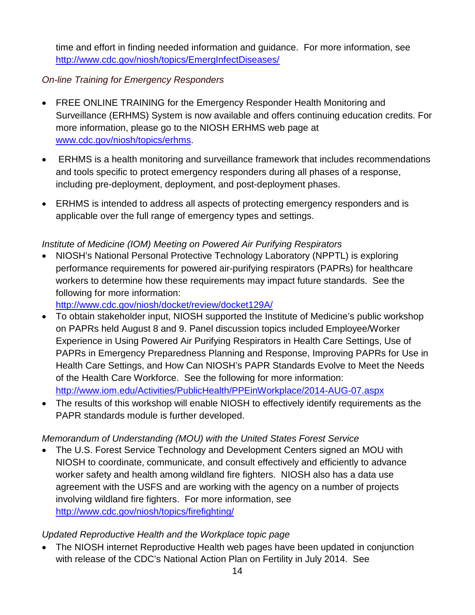time and effort in finding needed information and guidance. For more information, see <http://www.cdc.gov/niosh/topics/EmergInfectDiseases/>

# *On-line Training for Emergency Responders*

- FREE ONLINE TRAINING for the Emergency Responder Health Monitoring and Surveillance (ERHMS) System is now available and offers continuing education credits. For more information, please go to the NIOSH ERHMS web page at [www.cdc.gov/niosh/topics/erhms.](http://www.cdc.gov/niosh/topics/erhms)
- ERHMS is a health monitoring and surveillance framework that includes recommendations and tools specific to protect emergency responders during all phases of a response, including pre-deployment, deployment, and post-deployment phases.
- ERHMS is intended to address all aspects of protecting emergency responders and is applicable over the full range of emergency types and settings.

# *Institute of Medicine (IOM) Meeting on Powered Air Purifying Respirators*

• NIOSH's National Personal Protective Technology Laboratory (NPPTL) is exploring performance requirements for powered air-purifying respirators (PAPRs) for healthcare workers to determine how these requirements may impact future standards. See the following for more information:

<http://www.cdc.gov/niosh/docket/review/docket129A/>

- To obtain stakeholder input, NIOSH supported the Institute of Medicine's public workshop on PAPRs held August 8 and 9. Panel discussion topics included Employee/Worker Experience in Using Powered Air Purifying Respirators in Health Care Settings, Use of PAPRs in Emergency Preparedness Planning and Response, Improving PAPRs for Use in Health Care Settings, and How Can NIOSH's PAPR Standards Evolve to Meet the Needs of the Health Care Workforce. See the following for more information: <http://www.iom.edu/Activities/PublicHealth/PPEinWorkplace/2014-AUG-07.aspx>
- The results of this workshop will enable NIOSH to effectively identify requirements as the PAPR standards module is further developed.

## *Memorandum of Understanding (MOU) with the United States Forest Service*

• The U.S. Forest Service Technology and Development Centers signed an MOU with NIOSH to coordinate, communicate, and consult effectively and efficiently to advance worker safety and health among wildland fire fighters. NIOSH also has a data use agreement with the USFS and are working with the agency on a number of projects involving wildland fire fighters. For more information, see <http://www.cdc.gov/niosh/topics/firefighting/>

# *Updated Reproductive Health and the Workplace topic page*

• The NIOSH internet Reproductive Health web pages have been updated in conjunction with release of the CDC's National Action Plan on Fertility in July 2014. See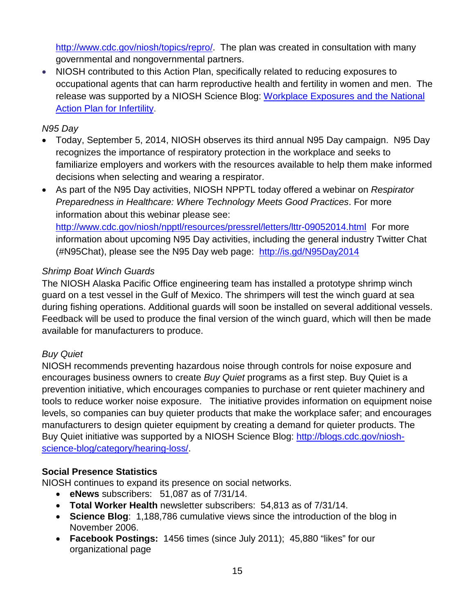[http://www.cdc.gov/niosh/topics/repro/.](http://www.cdc.gov/niosh/topics/repro/) The plan was created in consultation with many governmental and nongovernmental partners.

• NIOSH contributed to this Action Plan, specifically related to reducing exposures to occupational agents that can harm reproductive health and fertility in women and men. The release was supported by a NIOSH Science Blog: [Workplace Exposures and the National](http://blogs.cdc.gov/niosh-science-blog/2014/07/16/infertility/)  [Action Plan for Infertility.](http://blogs.cdc.gov/niosh-science-blog/2014/07/16/infertility/)

## *N95 Day*

- Today, September 5, 2014, NIOSH observes its third annual N95 Day campaign. N95 Day recognizes the importance of respiratory protection in the workplace and seeks to familiarize employers and workers with the resources available to help them make informed decisions when selecting and wearing a respirator.
- As part of the N95 Day activities, NIOSH NPPTL today offered a webinar on *Respirator Preparedness in Healthcare: Where Technology Meets Good Practices*. For more information about this webinar please see: <http://www.cdc.gov/niosh/npptl/resources/pressrel/letters/lttr-09052014.html>For more

information about upcoming N95 Day activities, including the general industry Twitter Chat (#N95Chat), please see the N95 Day web page: <http://is.gd/N95Day2014>

# *Shrimp Boat Winch Guards*

The NIOSH Alaska Pacific Office engineering team has installed a prototype shrimp winch guard on a test vessel in the Gulf of Mexico. The shrimpers will test the winch guard at sea during fishing operations. Additional guards will soon be installed on several additional vessels. Feedback will be used to produce the final version of the winch guard, which will then be made available for manufacturers to produce.

# *Buy Quiet*

NIOSH recommends preventing hazardous noise through controls for noise exposure and encourages business owners to create *Buy Quiet* programs as a first step. Buy Quiet is a prevention initiative, which encourages companies to purchase or rent quieter machinery and tools to reduce worker noise exposure. The initiative provides information on equipment noise levels, so companies can buy quieter products that make the workplace safer; and encourages manufacturers to design quieter equipment by creating a demand for quieter products. The Buy Quiet initiative was supported by a NIOSH Science Blog: [http://blogs.cdc.gov/niosh](http://blogs.cdc.gov/niosh-science-blog/category/hearing-loss/)[science-blog/category/hearing-loss/.](http://blogs.cdc.gov/niosh-science-blog/category/hearing-loss/)

## **Social Presence Statistics**

NIOSH continues to expand its presence on social networks.

- **eNews** subscribers: 51,087 as of 7/31/14.
- **Total Worker Health** newsletter subscribers: 54,813 as of 7/31/14.
- **Science Blog**: 1,188,786 cumulative views since the introduction of the blog in November 2006.
- **Facebook Postings:** 1456 times (since July 2011); 45,880 "likes" for our organizational page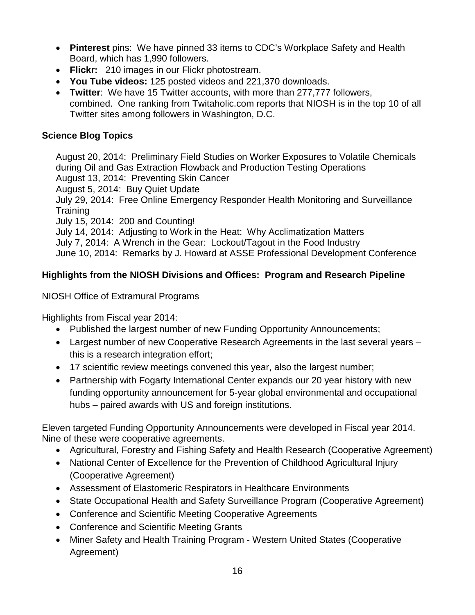- **Pinterest** pins: We have pinned 33 items to CDC's Workplace Safety and Health Board, which has 1,990 followers.
- **Flickr:** 210 images in our Flickr photostream.
- **You Tube videos:** 125 posted videos and 221,370 downloads.
- **Twitter**: We have 15 Twitter accounts, with more than 277,777 followers, combined. One ranking from Twitaholic.com reports that NIOSH is in the top 10 of all Twitter sites among followers in Washington, D.C.

## **Science Blog Topics**

August 20, 2014: Preliminary Field Studies on Worker Exposures to Volatile Chemicals during Oil and Gas Extraction Flowback and Production Testing Operations August 13, 2014: Preventing Skin Cancer

August 5, 2014: Buy Quiet Update

July 29, 2014: Free Online Emergency Responder Health Monitoring and Surveillance **Training** 

July 15, 2014: 200 and Counting!

July 14, 2014: Adjusting to Work in the Heat: Why Acclimatization Matters July 7, 2014: A Wrench in the Gear: Lockout/Tagout in the Food Industry June 10, 2014: Remarks by J. Howard at ASSE Professional Development Conference

# **Highlights from the NIOSH Divisions and Offices: Program and Research Pipeline**

## NIOSH Office of Extramural Programs

Highlights from Fiscal year 2014:

- Published the largest number of new Funding Opportunity Announcements;
- Largest number of new Cooperative Research Agreements in the last several years this is a research integration effort;
- 17 scientific review meetings convened this year, also the largest number;
- Partnership with Fogarty International Center expands our 20 year history with new funding opportunity announcement for 5-year global environmental and occupational hubs – paired awards with US and foreign institutions.

Eleven targeted Funding Opportunity Announcements were developed in Fiscal year 2014. Nine of these were cooperative agreements.

- Agricultural, Forestry and Fishing Safety and Health Research (Cooperative Agreement)
- National Center of Excellence for the Prevention of Childhood Agricultural Injury (Cooperative Agreement)
- Assessment of Elastomeric Respirators in Healthcare Environments
- State Occupational Health and Safety Surveillance Program (Cooperative Agreement)
- Conference and Scientific Meeting Cooperative Agreements
- Conference and Scientific Meeting Grants
- Miner Safety and Health Training Program Western United States (Cooperative Agreement)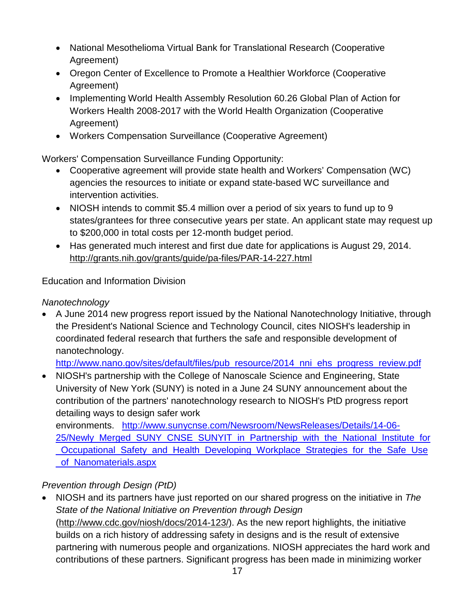- National Mesothelioma Virtual Bank for Translational Research (Cooperative Agreement)
- Oregon Center of Excellence to Promote a Healthier Workforce (Cooperative Agreement)
- Implementing World Health Assembly Resolution 60.26 Global Plan of Action for Workers Health 2008-2017 with the World Health Organization (Cooperative Agreement)
- Workers Compensation Surveillance (Cooperative Agreement)

Workers' Compensation Surveillance Funding Opportunity:

- Cooperative agreement will provide state health and Workers' Compensation (WC) agencies the resources to initiate or expand state-based WC surveillance and intervention activities.
- NIOSH intends to commit \$5.4 million over a period of six years to fund up to 9 states/grantees for three consecutive years per state. An applicant state may request up to \$200,000 in total costs per 12-month budget period.
- Has generated much interest and first due date for applications is August 29, 2014. <http://grants.nih.gov/grants/guide/pa-files/PAR-14-227.html>

Education and Information Division

*Nanotechnology* 

• A June 2014 new progress report issued by the National Nanotechnology Initiative, through the President's National Science and Technology Council, cites NIOSH's leadership in coordinated federal research that furthers the safe and responsible development of nanotechnology.

[http://www.nano.gov/sites/default/files/pub\\_resource/2014\\_nni\\_ehs\\_progress\\_review.pdf](http://www.nano.gov/sites/default/files/pub_resource/2014_nni_ehs_progress_review.pdf)

• NIOSH's partnership with the College of Nanoscale Science and Engineering, State University of New York (SUNY) is noted in a June 24 SUNY announcement about the contribution of the partners' nanotechnology research to NIOSH's PtD progress report detailing ways to design safer work

environments. [http://www.sunycnse.com/Newsroom/NewsReleases/Details/14-06-](http://www.sunycnse.com/Newsroom/NewsReleases/Details/14-06-25/Newly_Merged_SUNY_CNSE_SUNYIT_in_Partnership_with_the_National_Institute_for_Occupational_Safety_and_Health_Developing_Workplace_Strategies_for_the_Safe_Use_of_Nanomaterials.aspx) [25/Newly\\_Merged\\_SUNY\\_CNSE\\_SUNYIT\\_in\\_Partnership\\_with\\_the\\_National\\_Institute\\_for](http://www.sunycnse.com/Newsroom/NewsReleases/Details/14-06-25/Newly_Merged_SUNY_CNSE_SUNYIT_in_Partnership_with_the_National_Institute_for_Occupational_Safety_and_Health_Developing_Workplace_Strategies_for_the_Safe_Use_of_Nanomaterials.aspx) [\\_Occupational\\_Safety\\_and\\_Health\\_Developing\\_Workplace\\_Strategies\\_for\\_the\\_Safe\\_Use](http://www.sunycnse.com/Newsroom/NewsReleases/Details/14-06-25/Newly_Merged_SUNY_CNSE_SUNYIT_in_Partnership_with_the_National_Institute_for_Occupational_Safety_and_Health_Developing_Workplace_Strategies_for_the_Safe_Use_of_Nanomaterials.aspx) [\\_of\\_Nanomaterials.aspx](http://www.sunycnse.com/Newsroom/NewsReleases/Details/14-06-25/Newly_Merged_SUNY_CNSE_SUNYIT_in_Partnership_with_the_National_Institute_for_Occupational_Safety_and_Health_Developing_Workplace_Strategies_for_the_Safe_Use_of_Nanomaterials.aspx)

# *Prevention through Design (PtD)*

• NIOSH and its partners have just reported on our shared progress on the initiative in *The State of the National Initiative on Prevention through Design* [\(http://www.cdc.gov/niosh/docs/2014-123/\)](http://www.cdc.gov/niosh/docs/2014-123/). As the new report highlights, the initiative builds on a rich history of addressing safety in designs and is the result of extensive partnering with numerous people and organizations. NIOSH appreciates the hard work and contributions of these partners. Significant progress has been made in minimizing worker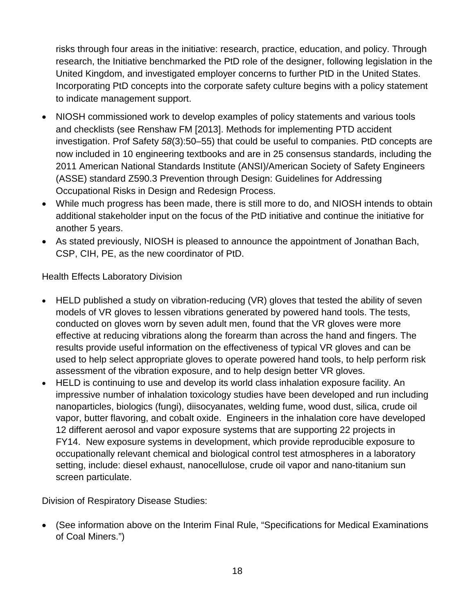risks through four areas in the initiative: research, practice, education, and policy. Through research, the Initiative benchmarked the PtD role of the designer, following legislation in the United Kingdom, and investigated employer concerns to further PtD in the United States. Incorporating PtD concepts into the corporate safety culture begins with a policy statement to indicate management support.

- NIOSH commissioned work to develop examples of policy statements and various tools and checklists (see Renshaw FM [2013]. Methods for implementing PTD accident investigation. Prof Safety *58*(3):50–55) that could be useful to companies. PtD concepts are now included in 10 engineering textbooks and are in 25 consensus standards, including the 2011 American National Standards Institute (ANSI)/American Society of Safety Engineers (ASSE) standard Z590.3 Prevention through Design: Guidelines for Addressing Occupational Risks in Design and Redesign Process.
- While much progress has been made, there is still more to do, and NIOSH intends to obtain additional stakeholder input on the focus of the PtD initiative and continue the initiative for another 5 years.
- As stated previously, NIOSH is pleased to announce the appointment of Jonathan Bach, CSP, CIH, PE, as the new coordinator of PtD.

Health Effects Laboratory Division

- HELD published a study on vibration-reducing (VR) gloves that tested the ability of seven models of VR gloves to lessen vibrations generated by powered hand tools. The tests, conducted on gloves worn by seven adult men, found that the VR gloves were more effective at reducing vibrations along the forearm than across the hand and fingers. The results provide useful information on the effectiveness of typical VR gloves and can be used to help select appropriate gloves to operate powered hand tools, to help perform risk assessment of the vibration exposure, and to help design better VR gloves.
- HELD is continuing to use and develop its world class inhalation exposure facility. An impressive number of inhalation toxicology studies have been developed and run including nanoparticles, biologics (fungi), diisocyanates, welding fume, wood dust, silica, crude oil vapor, butter flavoring, and cobalt oxide. Engineers in the inhalation core have developed 12 different aerosol and vapor exposure systems that are supporting 22 projects in FY14. New exposure systems in development, which provide reproducible exposure to occupationally relevant chemical and biological control test atmospheres in a laboratory setting, include: diesel exhaust, nanocellulose, crude oil vapor and nano-titanium sun screen particulate.

Division of Respiratory Disease Studies:

• (See information above on the Interim Final Rule, "Specifications for Medical Examinations of Coal Miners.")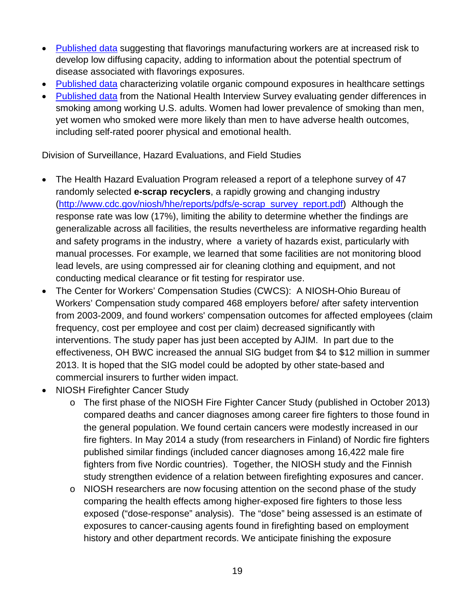- [Published data](http://www.ncbi.nlm.nih.gov/pubmed/24891557) suggesting that flavorings manufacturing workers are at increased risk to develop low diffusing capacity, adding to information about the potential spectrum of disease associated with flavorings exposures.
- [Published data](http://www2a.cdc.gov/nioshtic-2/BuildQyr.asp?s1=20044652&f1=%2A&Startyear=&Adv=0&terms=1&EndYear=&Limit=10000&sort=&D1=10&PageNo=1&RecNo=1&View=f&) characterizing volatile organic compound exposures in healthcare settings
- [Published data](http://www.ncbi.nlm.nih.gov/pubmed/25049215) from the National Health Interview Survey evaluating gender differences in smoking among working U.S. adults. Women had lower prevalence of smoking than men, yet women who smoked were more likely than men to have adverse health outcomes, including self-rated poorer physical and emotional health.

Division of Surveillance, Hazard Evaluations, and Field Studies

- The Health Hazard Evaluation Program released a report of a telephone survey of 47 randomly selected **e-scrap recyclers**, a rapidly growing and changing industry [\(http://www.cdc.gov/niosh/hhe/reports/pdfs/e-scrap\\_survey\\_report.pdf\)](http://www.cdc.gov/niosh/hhe/reports/pdfs/e-scrap_survey_report.pdf) Although the response rate was low (17%), limiting the ability to determine whether the findings are generalizable across all facilities, the results nevertheless are informative regarding health and safety programs in the industry, where a variety of hazards exist, particularly with manual processes. For example, we learned that some facilities are not monitoring blood lead levels, are using compressed air for cleaning clothing and equipment, and not conducting medical clearance or fit testing for respirator use.
- The Center for Workers' Compensation Studies (CWCS): A NIOSH-Ohio Bureau of Workers' Compensation study compared 468 employers before/ after safety intervention from 2003-2009, and found workers' compensation outcomes for affected employees (claim frequency, cost per employee and cost per claim) decreased significantly with interventions. The study paper has just been accepted by AJIM. In part due to the effectiveness, OH BWC increased the annual SIG budget from \$4 to \$12 million in summer 2013. It is hoped that the SIG model could be adopted by other state-based and commercial insurers to further widen impact.
- NIOSH Firefighter Cancer Study
	- o The first phase of the NIOSH Fire Fighter Cancer Study (published in October 2013) compared deaths and cancer diagnoses among career fire fighters to those found in the general population. We found certain cancers were modestly increased in our fire fighters. In May 2014 a study (from researchers in Finland) of Nordic fire fighters published similar findings (included cancer diagnoses among 16,422 male fire fighters from five Nordic countries). Together, the NIOSH study and the Finnish study strengthen evidence of a relation between firefighting exposures and cancer.
	- o NIOSH researchers are now focusing attention on the second phase of the study comparing the health effects among higher-exposed fire fighters to those less exposed ("dose-response" analysis). The "dose" being assessed is an estimate of exposures to cancer-causing agents found in firefighting based on employment history and other department records. We anticipate finishing the exposure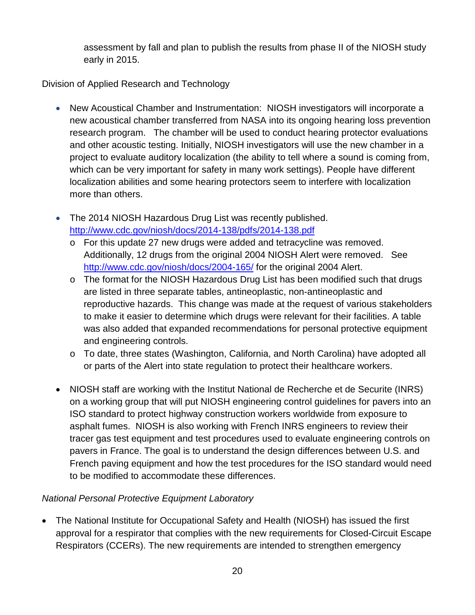assessment by fall and plan to publish the results from phase II of the NIOSH study early in 2015.

Division of Applied Research and Technology

- New Acoustical Chamber and Instrumentation: NIOSH investigators will incorporate a new acoustical chamber transferred from NASA into its ongoing hearing loss prevention research program. The chamber will be used to conduct hearing protector evaluations and other acoustic testing. Initially, NIOSH investigators will use the new chamber in a project to evaluate auditory localization (the ability to tell where a sound is coming from, which can be very important for safety in many work settings). People have different localization abilities and some hearing protectors seem to interfere with localization more than others.
- The 2014 NIOSH Hazardous Drug List was recently published. <http://www.cdc.gov/niosh/docs/2014-138/pdfs/2014-138.pdf>
	- $\circ$  For this update 27 new drugs were added and tetracycline was removed. Additionally, 12 drugs from the original 2004 NIOSH Alert were removed. See <http://www.cdc.gov/niosh/docs/2004-165/> for the original 2004 Alert.
	- o The format for the NIOSH Hazardous Drug List has been modified such that drugs are listed in three separate tables, antineoplastic, non-antineoplastic and reproductive hazards. This change was made at the request of various stakeholders to make it easier to determine which drugs were relevant for their facilities. A table was also added that expanded recommendations for personal protective equipment and engineering controls.
	- o To date, three states (Washington, California, and North Carolina) have adopted all or parts of the Alert into state regulation to protect their healthcare workers.
- NIOSH staff are working with the Institut National de Recherche et de Securite (INRS) on a working group that will put NIOSH engineering control guidelines for pavers into an ISO standard to protect highway construction workers worldwide from exposure to asphalt fumes. NIOSH is also working with French INRS engineers to review their tracer gas test equipment and test procedures used to evaluate engineering controls on pavers in France. The goal is to understand the design differences between U.S. and French paving equipment and how the test procedures for the ISO standard would need to be modified to accommodate these differences.

# *National Personal Protective Equipment Laboratory*

• The National Institute for Occupational Safety and Health (NIOSH) has issued the first approval for a respirator that complies with the new requirements for Closed-Circuit Escape Respirators (CCERs). The new requirements are intended to strengthen emergency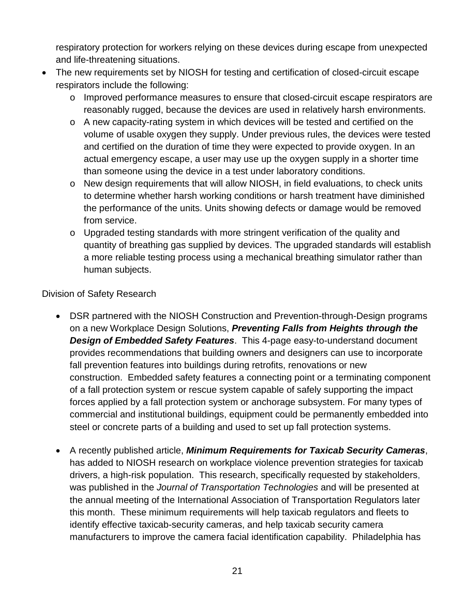respiratory protection for workers relying on these devices during escape from unexpected and life-threatening situations.

- The new requirements set by NIOSH for testing and certification of closed-circuit escape respirators include the following:
	- o Improved performance measures to ensure that closed-circuit escape respirators are reasonably rugged, because the devices are used in relatively harsh environments.
	- $\circ$  A new capacity-rating system in which devices will be tested and certified on the volume of usable oxygen they supply. Under previous rules, the devices were tested and certified on the duration of time they were expected to provide oxygen. In an actual emergency escape, a user may use up the oxygen supply in a shorter time than someone using the device in a test under laboratory conditions.
	- o New design requirements that will allow NIOSH, in field evaluations, to check units to determine whether harsh working conditions or harsh treatment have diminished the performance of the units. Units showing defects or damage would be removed from service.
	- o Upgraded testing standards with more stringent verification of the quality and quantity of breathing gas supplied by devices. The upgraded standards will establish a more reliable testing process using a mechanical breathing simulator rather than human subjects.

## Division of Safety Research

- DSR partnered with the NIOSH Construction and Prevention-through-Design programs on a new Workplace Design Solutions, *Preventing Falls from Heights through the Design of Embedded Safety Features*. This 4-page easy-to-understand document provides recommendations that building owners and designers can use to incorporate fall prevention features into buildings during retrofits, renovations or new construction. Embedded safety features a connecting point or a terminating component of a fall protection system or rescue system capable of safely supporting the impact forces applied by a fall protection system or anchorage subsystem. For many types of commercial and institutional buildings, equipment could be permanently embedded into steel or concrete parts of a building and used to set up fall protection systems.
- A recently published article, *Minimum Requirements for Taxicab Security Cameras*, has added to NIOSH research on workplace violence prevention strategies for taxicab drivers, a high-risk population. This research, specifically requested by stakeholders, was published in the *Journal of Transportation Technologies* and will be presented at the annual meeting of the International Association of Transportation Regulators later this month. These minimum requirements will help taxicab regulators and fleets to identify effective taxicab-security cameras, and help taxicab security camera manufacturers to improve the camera facial identification capability. Philadelphia has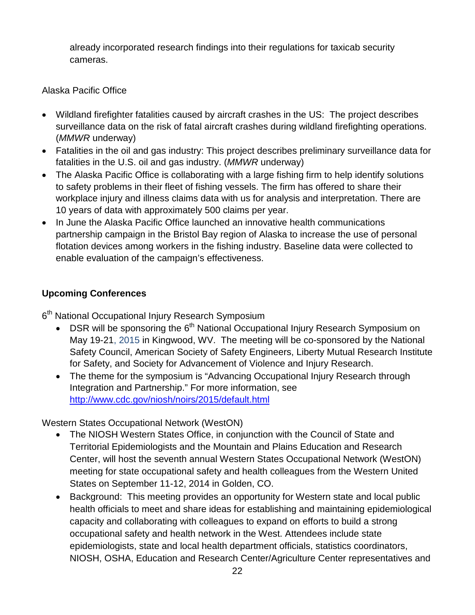already incorporated research findings into their regulations for taxicab security cameras.

Alaska Pacific Office

- Wildland firefighter fatalities caused by aircraft crashes in the US: The project describes surveillance data on the risk of fatal aircraft crashes during wildland firefighting operations. (*MMWR* underway)
- Fatalities in the oil and gas industry: This project describes preliminary surveillance data for fatalities in the U.S. oil and gas industry. (*MMWR* underway)
- The Alaska Pacific Office is collaborating with a large fishing firm to help identify solutions to safety problems in their fleet of fishing vessels. The firm has offered to share their workplace injury and illness claims data with us for analysis and interpretation. There are 10 years of data with approximately 500 claims per year.
- In June the Alaska Pacific Office launched an innovative health communications partnership campaign in the Bristol Bay region of Alaska to increase the use of personal flotation devices among workers in the fishing industry. Baseline data were collected to enable evaluation of the campaign's effectiveness.

# **Upcoming Conferences**

6<sup>th</sup> National Occupational Injury Research Symposium

- DSR will be sponsoring the 6<sup>th</sup> National Occupational Injury Research Symposium on May 19-21, 2015 in Kingwood, WV. The meeting will be co-sponsored by the National Safety Council, American Society of Safety Engineers, Liberty Mutual Research Institute for Safety, and Society for Advancement of Violence and Injury Research.
- The theme for the symposium is "Advancing Occupational Injury Research through Integration and Partnership." For more information, see <http://www.cdc.gov/niosh/noirs/2015/default.html>

Western States Occupational Network (WestON)

- The NIOSH Western States Office, in conjunction with the Council of State and Territorial Epidemiologists and the Mountain and Plains Education and Research Center, will host the seventh annual Western States Occupational Network (WestON) meeting for state occupational safety and health colleagues from the Western United States on September 11-12, 2014 in Golden, CO.
- Background: This meeting provides an opportunity for Western state and local public health officials to meet and share ideas for establishing and maintaining epidemiological capacity and collaborating with colleagues to expand on efforts to build a strong occupational safety and health network in the West. Attendees include state epidemiologists, state and local health department officials, statistics coordinators, NIOSH, OSHA, Education and Research Center/Agriculture Center representatives and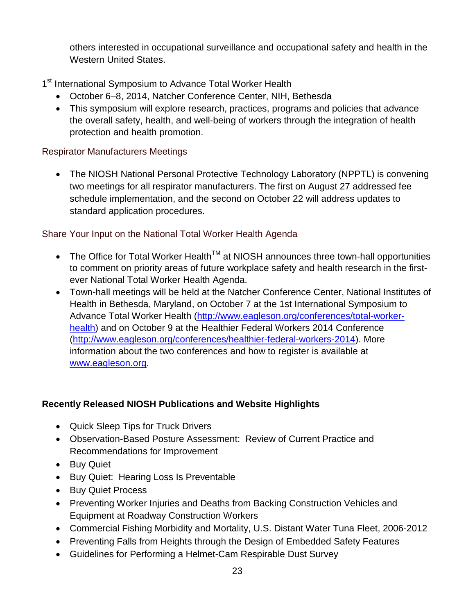others interested in occupational surveillance and occupational safety and health in the Western United States.

1<sup>st</sup> International Symposium to Advance Total Worker Health

- October 6–8, 2014, Natcher Conference Center, NIH, Bethesda
- This symposium will explore research, practices, programs and policies that advance the overall safety, health, and well-being of workers through the integration of health protection and health promotion.

# Respirator Manufacturers Meetings

• The NIOSH National Personal Protective Technology Laboratory (NPPTL) is convening two meetings for all respirator manufacturers. The first on August 27 addressed fee schedule implementation, and the second on October 22 will address updates to standard application procedures.

# Share Your Input on the National Total Worker Health Agenda

- The Office for Total Worker Health<sup>TM</sup> at NIOSH announces three town-hall opportunities to comment on priority areas of future workplace safety and health research in the firstever National Total Worker Health Agenda.
- Town-hall meetings will be held at the Natcher Conference Center, National Institutes of Health in Bethesda, Maryland, on October 7 at the 1st International Symposium to Advance Total Worker Health [\(http://www.eagleson.org/conferences/total-worker](http://www.eagleson.org/conferences/total-worker-health)[health\)](http://www.eagleson.org/conferences/total-worker-health) and on October 9 at the Healthier Federal Workers 2014 Conference [\(http://www.eagleson.org/conferences/healthier-federal-workers-2014\)](http://www.eagleson.org/conferences/healthier-federal-workers-2014). More information about the two conferences and how to register is available at [www.eagleson.org.](http://www.eagleson.org/)

# **Recently Released NIOSH Publications and Website Highlights**

- Quick Sleep Tips for Truck Drivers
- Observation-Based Posture Assessment: Review of Current Practice and Recommendations for Improvement
- Buy Quiet
- Buy Quiet: Hearing Loss Is Preventable
- Buy Quiet Process
- Preventing Worker Injuries and Deaths from Backing Construction Vehicles and Equipment at Roadway Construction Workers
- Commercial Fishing Morbidity and Mortality, U.S. Distant Water Tuna Fleet, 2006-2012
- Preventing Falls from Heights through the Design of Embedded Safety Features
- Guidelines for Performing a Helmet-Cam Respirable Dust Survey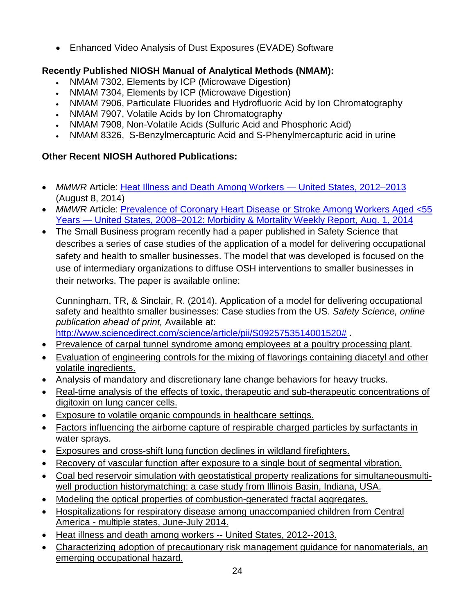• Enhanced Video Analysis of Dust Exposures (EVADE) Software

# **Recently Published NIOSH Manual of Analytical Methods (NMAM):**

- NMAM 7302, Elements by ICP (Microwave Digestion)
- NMAM 7304, Elements by ICP (Microwave Digestion)
- NMAM 7906, Particulate Fluorides and Hydrofluoric Acid by Ion Chromatography
- NMAM 7907, Volatile Acids by Ion Chromatography
- NMAM 7908, Non-Volatile Acids (Sulfuric Acid and Phosphoric Acid)
- NMAM 8326, S-Benzylmercapturic Acid and S-Phenylmercapturic acid in urine

# **Other Recent NIOSH Authored Publications:**

- *MMWR* Article: [Heat Illness and Death Among Workers —](http://www.cdc.gov/mmwr/preview/mmwrhtml/mm6331a1.htm?s_cid=mm6331a1_e) United States, 2012–2013 (August 8, 2014)
- *MMWR* Article: Prevalence of Coronary Heart Disease or Stroke Among Workers Aged <55 Years — [United States, 2008–2012: Morbidity & Mortality Weekly Report, Aug. 1, 2014](http://www.cdc.gov/mmwr/preview/mmwrhtml/mm6330a1.htm?s_cid=mm6330a1_w)
- The Small Business program recently had a paper published in Safety Science that describes a series of case studies of the application of a model for delivering occupational safety and health to smaller businesses. The model that was developed is focused on the use of intermediary organizations to diffuse OSH interventions to smaller businesses in their networks. The paper is available online:

Cunningham, TR, & Sinclair, R. (2014). Application of a model for delivering occupational safety and healthto smaller businesses: Case studies from the US. *Safety Science, online publication ahead of print,* Available at:

[http://www.sciencedirect.com/science/article/pii/S0925753514001520#](http://www.sciencedirect.com/science/article/pii/S0925753514001520).

- [Prevalence of carpal tunnel syndrome among employees at a poultry processing plant.](http://www.sciencedirect.com/science/article/pii/S0003687014000398)
- [Evaluation of engineering controls for the mixing of flavorings containing diacetyl and other](http://www2a.cdc.gov/nioshtic-2/BuildQyr.asp?s1=20043994&f1=%2A&Startyear=&Adv=0&terms=1&EndYear=&Limit=10000&sort=&D1=10&PageNo=1&RecNo=1&View=f&)  [volatile ingredients.](http://www2a.cdc.gov/nioshtic-2/BuildQyr.asp?s1=20043994&f1=%2A&Startyear=&Adv=0&terms=1&EndYear=&Limit=10000&sort=&D1=10&PageNo=1&RecNo=1&View=f&)
- [Analysis of mandatory and discretionary lane change behaviors for heavy trucks.](http://www2a.cdc.gov/nioshtic-2/BuildQyr.asp?s1=20044846&f1=%2A&Startyear=&Adv=0&terms=1&EndYear=&Limit=10000&sort=&D1=10&PageNo=1&RecNo=1&View=f&)
- [Real-time analysis of the effects of toxic, therapeutic and sub-therapeutic concentrations of](http://www2a.cdc.gov/nioshtic-2/BuildQyr.asp?s1=20044221&f1=%2A&Startyear=&Adv=0&terms=1&EndYear=&Limit=10000&sort=&D1=10&PageNo=1&RecNo=1&View=f&)  [digitoxin on lung cancer cells.](http://www2a.cdc.gov/nioshtic-2/BuildQyr.asp?s1=20044221&f1=%2A&Startyear=&Adv=0&terms=1&EndYear=&Limit=10000&sort=&D1=10&PageNo=1&RecNo=1&View=f&)
- [Exposure to volatile organic compounds in healthcare settings.](http://www2a.cdc.gov/nioshtic-2/BuildQyr.asp?s1=20044652&f1=%2A&Startyear=&Adv=0&terms=1&EndYear=&Limit=10000&sort=&D1=10&PageNo=1&RecNo=1&View=f&)
- [Factors influencing the airborne capture of respirable charged particles by surfactants in](http://www2a.cdc.gov/nioshtic-2/BuildQyr.asp?s1=20044741&f1=%2A&Startyear=&Adv=0&terms=1&EndYear=&Limit=10000&sort=&D1=10&PageNo=1&RecNo=1&View=f&)  [water sprays.](http://www2a.cdc.gov/nioshtic-2/BuildQyr.asp?s1=20044741&f1=%2A&Startyear=&Adv=0&terms=1&EndYear=&Limit=10000&sort=&D1=10&PageNo=1&RecNo=1&View=f&)
- [Exposures and cross-shift lung function declines in wildland firefighters.](http://www2a.cdc.gov/nioshtic-2/BuildQyr.asp?s1=20044742&f1=%2A&Startyear=&Adv=0&terms=1&EndYear=&Limit=10000&sort=&D1=10&PageNo=1&RecNo=1&View=f&)
- [Recovery of vascular function after exposure to a single bout of segmental vibration.](http://www2a.cdc.gov/nioshtic-2/BuildQyr.asp?s1=20044775&f1=%2A&Startyear=&Adv=0&terms=1&EndYear=&Limit=10000&sort=&D1=10&PageNo=1&RecNo=1&View=f&)
- [Coal bed reservoir simulation with geostatistical property realizations for simultaneousmulti](http://www2a.cdc.gov/nioshtic-2/BuildQyr.asp?s1=20044778&f1=%2A&Startyear=&Adv=0&terms=1&EndYear=&Limit=10000&sort=&D1=10&PageNo=1&RecNo=1&View=f&)[well production historymatching: a case study from Illinois Basin, Indiana, USA.](http://www2a.cdc.gov/nioshtic-2/BuildQyr.asp?s1=20044778&f1=%2A&Startyear=&Adv=0&terms=1&EndYear=&Limit=10000&sort=&D1=10&PageNo=1&RecNo=1&View=f&)
- [Modeling the optical properties of combustion-generated fractal aggregates.](http://www2a.cdc.gov/nioshtic-2/BuildQyr.asp?s1=20044374&f1=%2A&Startyear=&Adv=0&terms=1&EndYear=&Limit=10000&sort=&D1=10&PageNo=1&RecNo=1&View=f&)
- [Hospitalizations for respiratory disease among unaccompanied children from Central](http://www2a.cdc.gov/nioshtic-2/BuildQyr.asp?s1=20044873&f1=%2A&Startyear=&Adv=0&terms=1&EndYear=&Limit=10000&sort=&D1=10&PageNo=1&RecNo=1&View=f&)  America - [multiple states, June-July 2014.](http://www2a.cdc.gov/nioshtic-2/BuildQyr.asp?s1=20044873&f1=%2A&Startyear=&Adv=0&terms=1&EndYear=&Limit=10000&sort=&D1=10&PageNo=1&RecNo=1&View=f&)
- [Heat illness and death among workers --](http://www2a.cdc.gov/nioshtic-2/BuildQyr.asp?s1=20044840&f1=%2A&Startyear=&Adv=0&terms=1&EndYear=&Limit=10000&sort=&D1=10&PageNo=1&RecNo=1&View=f&) United States, 2012--2013.
- [Characterizing adoption of precautionary risk management guidance for nanomaterials, an](http://www2a.cdc.gov/nioshtic-2/BuildQyr.asp?s1=20044825&f1=%2A&Startyear=&Adv=0&terms=1&EndYear=&Limit=10000&sort=&D1=10&PageNo=1&RecNo=1&View=f&)  [emerging occupational hazard.](http://www2a.cdc.gov/nioshtic-2/BuildQyr.asp?s1=20044825&f1=%2A&Startyear=&Adv=0&terms=1&EndYear=&Limit=10000&sort=&D1=10&PageNo=1&RecNo=1&View=f&)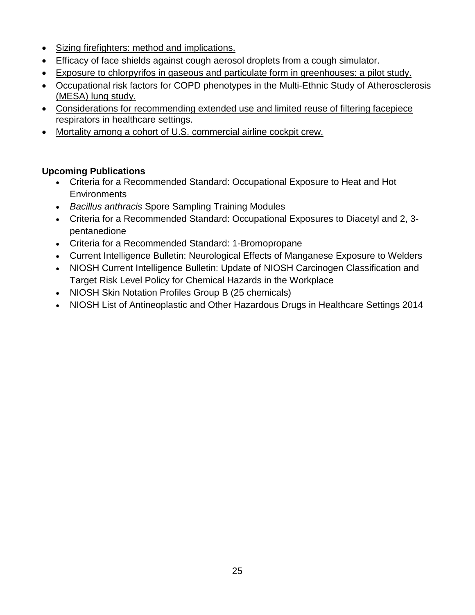- [Sizing firefighters: method and implications.](http://www2a.cdc.gov/nioshtic-2/BuildQyr.asp?s1=20043661&f1=%2A&Startyear=&Adv=0&terms=1&EndYear=&Limit=10000&sort=&D1=10&PageNo=1&RecNo=1&View=f&)
- [Efficacy of face shields against cough aerosol droplets from a cough simulator.](http://www2a.cdc.gov/nioshtic-2/BuildQyr.asp?s1=20043721&f1=%2A&Startyear=&Adv=0&terms=1&EndYear=&Limit=10000&sort=&D1=10&PageNo=1&RecNo=1&View=f&)
- [Exposure to chlorpyrifos in gaseous and particulate form in greenhouses: a pilot study.](http://www2a.cdc.gov/nioshtic-2/BuildQyr.asp?s1=20043780&f1=%2A&Startyear=&Adv=0&terms=1&EndYear=&Limit=10000&sort=&D1=10&PageNo=1&RecNo=1&View=f&)
- [Occupational risk factors for COPD phenotypes in the Multi-Ethnic Study of Atherosclerosis](http://www2a.cdc.gov/nioshtic-2/BuildQyr.asp?s1=20043901&f1=%2A&Startyear=&Adv=0&terms=1&EndYear=&Limit=10000&sort=&D1=10&PageNo=1&RecNo=1&View=f&)  [\(MESA\) lung study.](http://www2a.cdc.gov/nioshtic-2/BuildQyr.asp?s1=20043901&f1=%2A&Startyear=&Adv=0&terms=1&EndYear=&Limit=10000&sort=&D1=10&PageNo=1&RecNo=1&View=f&)
- [Considerations for recommending extended use and limited reuse of filtering facepiece](http://www2a.cdc.gov/nioshtic-2/BuildQyr.asp?s1=20043957&f1=%2A&Startyear=&Adv=0&terms=1&EndYear=&Limit=10000&sort=&D1=10&PageNo=1&RecNo=1&View=f&)  [respirators in healthcare settings.](http://www2a.cdc.gov/nioshtic-2/BuildQyr.asp?s1=20043957&f1=%2A&Startyear=&Adv=0&terms=1&EndYear=&Limit=10000&sort=&D1=10&PageNo=1&RecNo=1&View=f&)
- [Mortality among a cohort of U.S. commercial airline cockpit crew.](http://www2a.cdc.gov/nioshtic-2/BuildQyr.asp?s1=20044058&f1=%2A&Startyear=&Adv=0&terms=1&EndYear=&Limit=10000&sort=&D1=10&PageNo=1&RecNo=1&View=f&)

# **Upcoming Publications**

- Criteria for a Recommended Standard: Occupational Exposure to Heat and Hot **Environments**
- *Bacillus anthracis* Spore Sampling Training Modules
- Criteria for a Recommended Standard: Occupational Exposures to Diacetyl and 2, 3 pentanedione
- Criteria for a Recommended Standard: 1-Bromopropane
- Current Intelligence Bulletin: Neurological Effects of Manganese Exposure to Welders
- NIOSH Current Intelligence Bulletin: Update of NIOSH Carcinogen Classification and Target Risk Level Policy for Chemical Hazards in the Workplace
- NIOSH Skin Notation Profiles Group B (25 chemicals)
- NIOSH List of Antineoplastic and Other Hazardous Drugs in Healthcare Settings 2014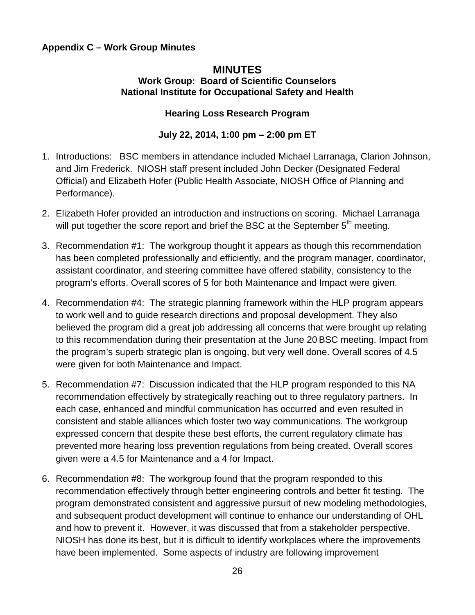## **Appendix C – Work Group Minutes**

### **MINUTES Work Group: Board of Scientific Counselors National Institute for Occupational Safety and Health**

## **Hearing Loss Research Program**

## **July 22, 2014, 1:00 pm – 2:00 pm ET**

- 1. Introductions: BSC members in attendance included Michael Larranaga, Clarion Johnson, and Jim Frederick. NIOSH staff present included John Decker (Designated Federal Official) and Elizabeth Hofer (Public Health Associate, NIOSH Office of Planning and Performance).
- 2. Elizabeth Hofer provided an introduction and instructions on scoring. Michael Larranaga will put together the score report and brief the BSC at the September 5<sup>th</sup> meeting.
- 3. Recommendation #1: The workgroup thought it appears as though this recommendation has been completed professionally and efficiently, and the program manager, coordinator, assistant coordinator, and steering committee have offered stability, consistency to the program's efforts. Overall scores of 5 for both Maintenance and Impact were given.
- 4. Recommendation #4: The strategic planning framework within the HLP program appears to work well and to guide research directions and proposal development. They also believed the program did a great job addressing all concerns that were brought up relating to this recommendation during their presentation at the June 20 BSC meeting. Impact from the program's superb strategic plan is ongoing, but very well done. Overall scores of 4.5 were given for both Maintenance and Impact.
- 5. Recommendation #7: Discussion indicated that the HLP program responded to this NA recommendation effectively by strategically reaching out to three regulatory partners. In each case, enhanced and mindful communication has occurred and even resulted in consistent and stable alliances which foster two way communications. The workgroup expressed concern that despite these best efforts, the current regulatory climate has prevented more hearing loss prevention regulations from being created. Overall scores given were a 4.5 for Maintenance and a 4 for Impact.
- 6. Recommendation #8: The workgroup found that the program responded to this recommendation effectively through better engineering controls and better fit testing. The program demonstrated consistent and aggressive pursuit of new modeling methodologies, and subsequent product development will continue to enhance our understanding of OHL and how to prevent it. However, it was discussed that from a stakeholder perspective, NIOSH has done its best, but it is difficult to identify workplaces where the improvements have been implemented. Some aspects of industry are following improvement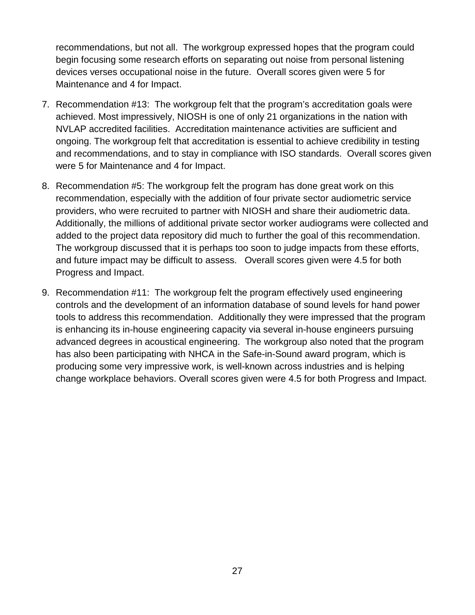recommendations, but not all. The workgroup expressed hopes that the program could begin focusing some research efforts on separating out noise from personal listening devices verses occupational noise in the future. Overall scores given were 5 for Maintenance and 4 for Impact.

- 7. Recommendation #13: The workgroup felt that the program's accreditation goals were achieved. Most impressively, NIOSH is one of only 21 organizations in the nation with NVLAP accredited facilities. Accreditation maintenance activities are sufficient and ongoing. The workgroup felt that accreditation is essential to achieve credibility in testing and recommendations, and to stay in compliance with ISO standards. Overall scores given were 5 for Maintenance and 4 for Impact.
- 8. Recommendation #5: The workgroup felt the program has done great work on this recommendation, especially with the addition of four private sector audiometric service providers, who were recruited to partner with NIOSH and share their audiometric data. Additionally, the millions of additional private sector worker audiograms were collected and added to the project data repository did much to further the goal of this recommendation. The workgroup discussed that it is perhaps too soon to judge impacts from these efforts, and future impact may be difficult to assess. Overall scores given were 4.5 for both Progress and Impact.
- 9. Recommendation #11: The workgroup felt the program effectively used engineering controls and the development of an information database of sound levels for hand power tools to address this recommendation. Additionally they were impressed that the program is enhancing its in-house engineering capacity via several in-house engineers pursuing advanced degrees in acoustical engineering. The workgroup also noted that the program has also been participating with NHCA in the Safe-in-Sound award program, which is producing some very impressive work, is well-known across industries and is helping change workplace behaviors. Overall scores given were 4.5 for both Progress and Impact.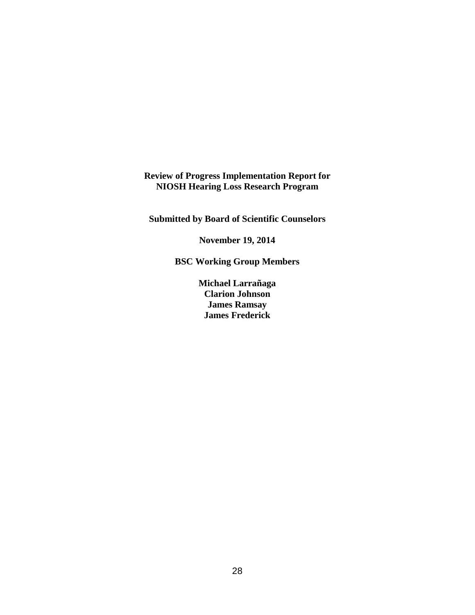## **Review of Progress Implementation Report for NIOSH Hearing Loss Research Program**

**Submitted by Board of Scientific Counselors**

**November 19, 2014**

**BSC Working Group Members**

**Michael Larrañaga Clarion Johnson James Ramsay James Frederick**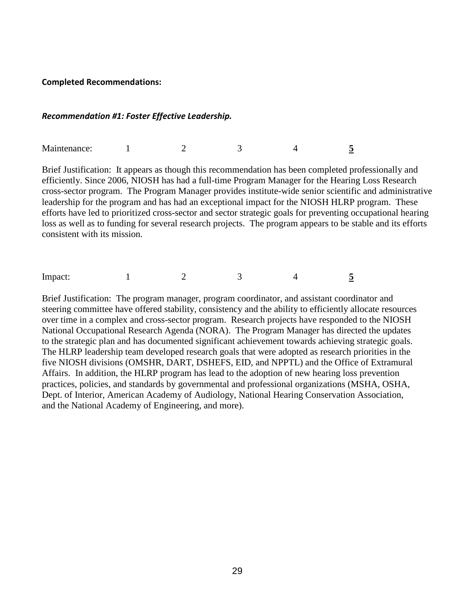#### **Completed Recommendations:**

#### *Recommendation #1: Foster Effective Leadership.*

Maintenance: 1 2 3 4 5

Brief Justification: It appears as though this recommendation has been completed professionally and efficiently. Since 2006, NIOSH has had a full-time Program Manager for the Hearing Loss Research cross-sector program. The Program Manager provides institute-wide senior scientific and administrative leadership for the program and has had an exceptional impact for the NIOSH HLRP program. These efforts have led to prioritized cross-sector and sector strategic goals for preventing occupational hearing loss as well as to funding for several research projects. The program appears to be stable and its efforts consistent with its mission.

Impact: 1 2 3 4 5

Brief Justification: The program manager, program coordinator, and assistant coordinator and steering committee have offered stability, consistency and the ability to efficiently allocate resources over time in a complex and cross-sector program. Research projects have responded to the NIOSH National Occupational Research Agenda (NORA). The Program Manager has directed the updates to the strategic plan and has documented significant achievement towards achieving strategic goals. The HLRP leadership team developed research goals that were adopted as research priorities in the five NIOSH divisions (OMSHR, DART, DSHEFS, EID, and NPPTL) and the Office of Extramural Affairs. In addition, the HLRP program has lead to the adoption of new hearing loss prevention practices, policies, and standards by governmental and professional organizations (MSHA, OSHA, Dept. of Interior, American Academy of Audiology, National Hearing Conservation Association, and the National Academy of Engineering, and more).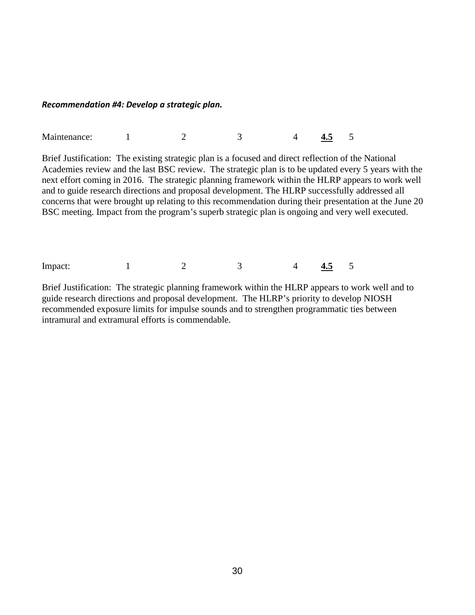#### *Recommendation #4: Develop a strategic plan.*

| Maintenance: |  |  |  |  | −™ |  |
|--------------|--|--|--|--|----|--|
|--------------|--|--|--|--|----|--|

Brief Justification: The existing strategic plan is a focused and direct reflection of the National Academies review and the last BSC review. The strategic plan is to be updated every 5 years with the next effort coming in 2016. The strategic planning framework within the HLRP appears to work well and to guide research directions and proposal development. The HLRP successfully addressed all concerns that were brought up relating to this recommendation during their presentation at the June 20 BSC meeting. Impact from the program's superb strategic plan is ongoing and very well executed.

Impact: 1 2 3 4 4.5 5

Brief Justification: The strategic planning framework within the HLRP appears to work well and to guide research directions and proposal development. The HLRP's priority to develop NIOSH recommended exposure limits for impulse sounds and to strengthen programmatic ties between intramural and extramural efforts is commendable.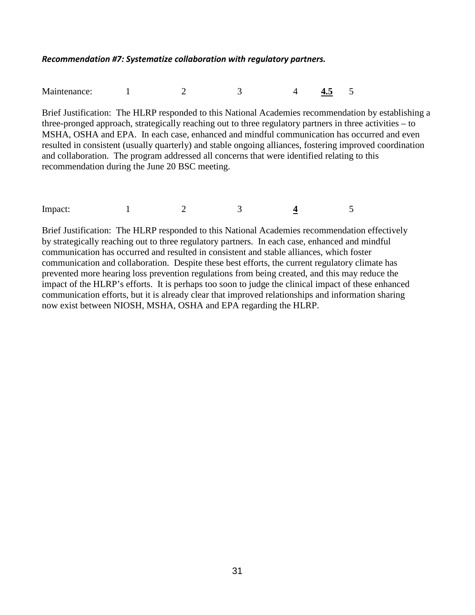### *Recommendation #7: Systematize collaboration with regulatory partners.*

Maintenance: 1 2 3 4 **4.5** 5

Brief Justification: The HLRP responded to this National Academies recommendation by establishing a three-pronged approach, strategically reaching out to three regulatory partners in three activities – to MSHA, OSHA and EPA. In each case, enhanced and mindful communication has occurred and even resulted in consistent (usually quarterly) and stable ongoing alliances, fostering improved coordination and collaboration. The program addressed all concerns that were identified relating to this recommendation during the June 20 BSC meeting.

| $\sim$<br>Impact: |  | $\overline{\phantom{a}}$ |  |
|-------------------|--|--------------------------|--|
|                   |  |                          |  |

Brief Justification: The HLRP responded to this National Academies recommendation effectively by strategically reaching out to three regulatory partners. In each case, enhanced and mindful communication has occurred and resulted in consistent and stable alliances, which foster communication and collaboration. Despite these best efforts, the current regulatory climate has prevented more hearing loss prevention regulations from being created, and this may reduce the impact of the HLRP's efforts. It is perhaps too soon to judge the clinical impact of these enhanced communication efforts, but it is already clear that improved relationships and information sharing now exist between NIOSH, MSHA, OSHA and EPA regarding the HLRP.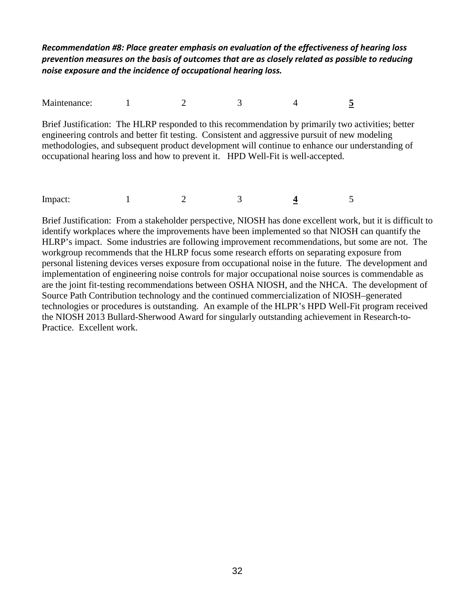*Recommendation #8: Place greater emphasis on evaluation of the effectiveness of hearing loss prevention measures on the basis of outcomes that are as closely related as possible to reducing noise exposure and the incidence of occupational hearing loss.*

Maintenance: 1 2 3 4 5

Brief Justification: The HLRP responded to this recommendation by primarily two activities; better engineering controls and better fit testing. Consistent and aggressive pursuit of new modeling methodologies, and subsequent product development will continue to enhance our understanding of occupational hearing loss and how to prevent it. HPD Well-Fit is well-accepted.

Impact: 1 2 3 4 5

Brief Justification: From a stakeholder perspective, NIOSH has done excellent work, but it is difficult to identify workplaces where the improvements have been implemented so that NIOSH can quantify the HLRP's impact. Some industries are following improvement recommendations, but some are not. The workgroup recommends that the HLRP focus some research efforts on separating exposure from personal listening devices verses exposure from occupational noise in the future. The development and implementation of engineering noise controls for major occupational noise sources is commendable as are the joint fit-testing recommendations between OSHA NIOSH, and the NHCA. The development of Source Path Contribution technology and the continued commercialization of NIOSH–generated technologies or procedures is outstanding. An example of the HLPR's HPD Well-Fit program received the NIOSH 2013 Bullard-Sherwood Award for singularly outstanding achievement in Research-to-Practice. Excellent work.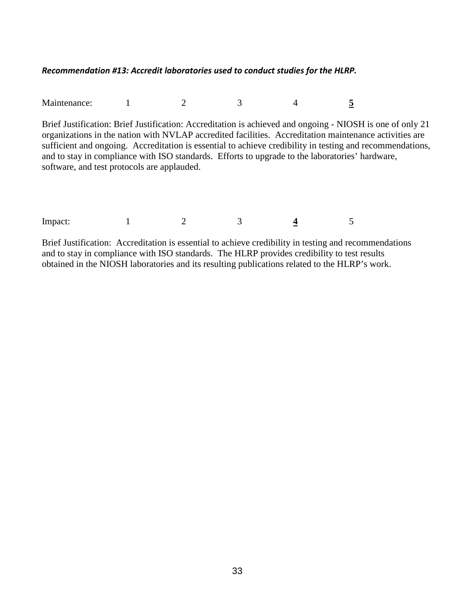### *Recommendation #13: Accredit laboratories used to conduct studies for the HLRP.*

Maintenance: 1 2 3 4 5

Brief Justification: Brief Justification: Accreditation is achieved and ongoing - NIOSH is one of only 21 organizations in the nation with NVLAP accredited facilities. Accreditation maintenance activities are sufficient and ongoing. Accreditation is essential to achieve credibility in testing and recommendations, and to stay in compliance with ISO standards. Efforts to upgrade to the laboratories' hardware, software, and test protocols are applauded.

| $\mathbf{r}$<br>Impact: |  |  |  |  |  |
|-------------------------|--|--|--|--|--|
|-------------------------|--|--|--|--|--|

Brief Justification: Accreditation is essential to achieve credibility in testing and recommendations and to stay in compliance with ISO standards. The HLRP provides credibility to test results obtained in the NIOSH laboratories and its resulting publications related to the HLRP's work.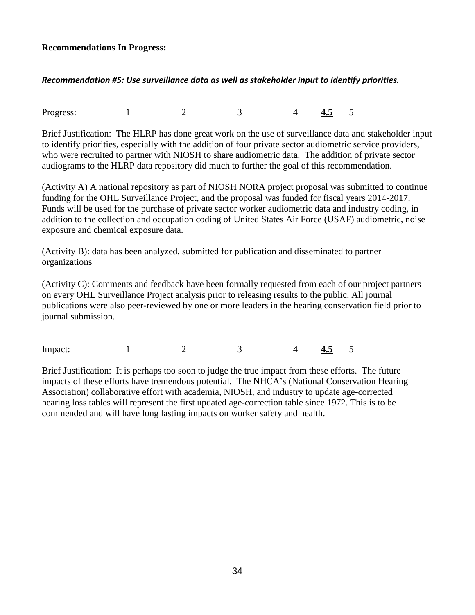### **Recommendations In Progress:**

### *Recommendation #5: Use surveillance data as well as stakeholder input to identify priorities.*

Progress: 1 2 3 4 <mark>4.5</mark> 5

Brief Justification: The HLRP has done great work on the use of surveillance data and stakeholder input to identify priorities, especially with the addition of four private sector audiometric service providers, who were recruited to partner with NIOSH to share audiometric data. The addition of private sector audiograms to the HLRP data repository did much to further the goal of this recommendation.

(Activity A) A national repository as part of NIOSH NORA project proposal was submitted to continue funding for the OHL Surveillance Project, and the proposal was funded for fiscal years 2014-2017. Funds will be used for the purchase of private sector worker audiometric data and industry coding, in addition to the collection and occupation coding of United States Air Force (USAF) audiometric, noise exposure and chemical exposure data.

(Activity B): data has been analyzed, submitted for publication and disseminated to partner organizations

(Activity C): Comments and feedback have been formally requested from each of our project partners on every OHL Surveillance Project analysis prior to releasing results to the public. All journal publications were also peer-reviewed by one or more leaders in the hearing conservation field prior to journal submission.

Impact: 1 2 3 4 4.5 5

Brief Justification: It is perhaps too soon to judge the true impact from these efforts. The future impacts of these efforts have tremendous potential. The NHCA's (National Conservation Hearing Association) collaborative effort with academia, NIOSH, and industry to update age-corrected hearing loss tables will represent the first updated age-correction table since 1972. This is to be commended and will have long lasting impacts on worker safety and health.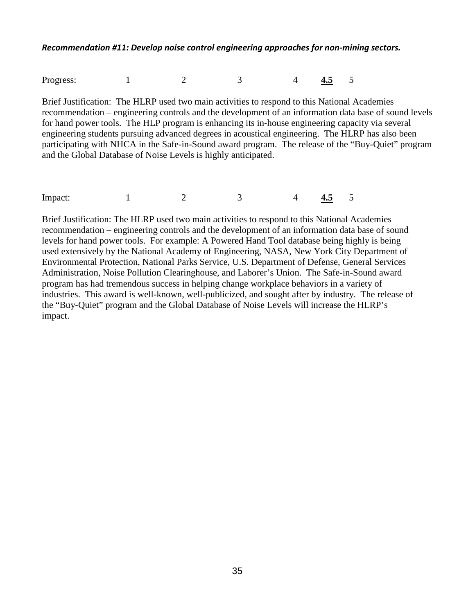*Recommendation #11: Develop noise control engineering approaches for non-mining sectors.*

Progress: 1 2 3 4 4.5 5

Brief Justification: The HLRP used two main activities to respond to this National Academies recommendation – engineering controls and the development of an information data base of sound levels for hand power tools. The HLP program is enhancing its in-house engineering capacity via several engineering students pursuing advanced degrees in acoustical engineering. The HLRP has also been participating with NHCA in the Safe-in-Sound award program. The release of the "Buy-Quiet" program and the Global Database of Noise Levels is highly anticipated.

Impact: 1 2 3 4 4.5 5

Brief Justification: The HLRP used two main activities to respond to this National Academies recommendation – engineering controls and the development of an information data base of sound levels for hand power tools. For example: A Powered Hand Tool database being highly is being used extensively by the National Academy of Engineering, NASA, New York City Department of Environmental Protection, National Parks Service, U.S. Department of Defense, General Services Administration, Noise Pollution Clearinghouse, and Laborer's Union. The Safe-in-Sound award program has had tremendous success in helping change workplace behaviors in a variety of industries. This award is well-known, well-publicized, and sought after by industry. The release of the "Buy-Quiet" program and the Global Database of Noise Levels will increase the HLRP's impact.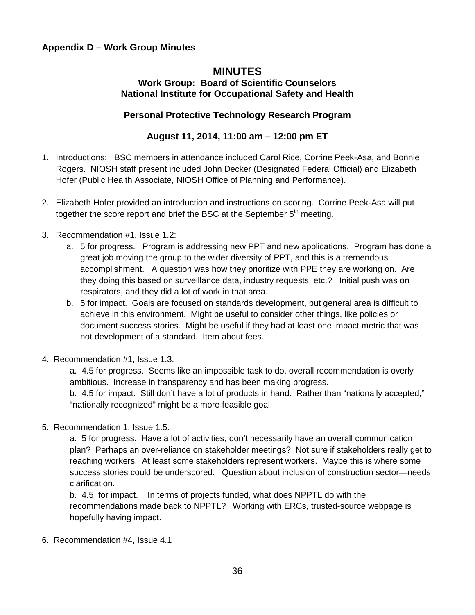## **Appendix D – Work Group Minutes**

# **MINUTES**

## **Work Group: Board of Scientific Counselors National Institute for Occupational Safety and Health**

### **Personal Protective Technology Research Program**

## **August 11, 2014, 11:00 am – 12:00 pm ET**

- 1. Introductions: BSC members in attendance included Carol Rice, Corrine Peek-Asa, and Bonnie Rogers. NIOSH staff present included John Decker (Designated Federal Official) and Elizabeth Hofer (Public Health Associate, NIOSH Office of Planning and Performance).
- 2. Elizabeth Hofer provided an introduction and instructions on scoring. Corrine Peek-Asa will put together the score report and brief the BSC at the September  $5<sup>th</sup>$  meeting.
- 3. Recommendation #1, Issue 1.2:
	- a. 5 for progress. Program is addressing new PPT and new applications. Program has done a great job moving the group to the wider diversity of PPT, and this is a tremendous accomplishment. A question was how they prioritize with PPE they are working on. Are they doing this based on surveillance data, industry requests, etc.? Initial push was on respirators, and they did a lot of work in that area.
	- b. 5 for impact. Goals are focused on standards development, but general area is difficult to achieve in this environment. Might be useful to consider other things, like policies or document success stories. Might be useful if they had at least one impact metric that was not development of a standard. Item about fees.
- 4. Recommendation #1, Issue 1.3:

a. 4.5 for progress. Seems like an impossible task to do, overall recommendation is overly ambitious. Increase in transparency and has been making progress.

b. 4.5 for impact. Still don't have a lot of products in hand. Rather than "nationally accepted," "nationally recognized" might be a more feasible goal.

5. Recommendation 1, Issue 1.5:

a. 5 for progress. Have a lot of activities, don't necessarily have an overall communication plan? Perhaps an over-reliance on stakeholder meetings? Not sure if stakeholders really get to reaching workers. At least some stakeholders represent workers. Maybe this is where some success stories could be underscored. Question about inclusion of construction sector—needs clarification.

b. 4.5 for impact. In terms of projects funded, what does NPPTL do with the recommendations made back to NPPTL? Working with ERCs, trusted-source webpage is hopefully having impact.

6. Recommendation #4, Issue 4.1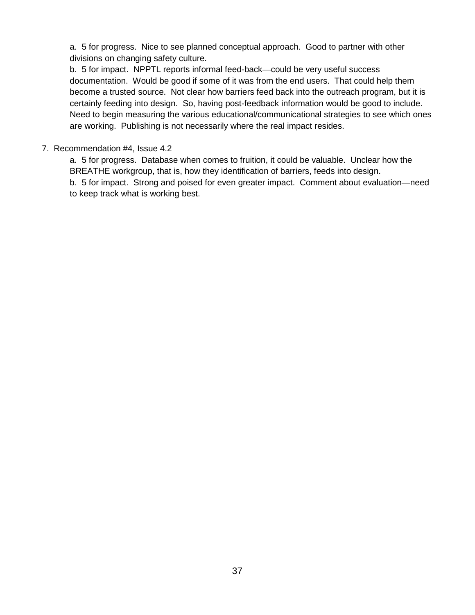a. 5 for progress. Nice to see planned conceptual approach. Good to partner with other divisions on changing safety culture.

b. 5 for impact. NPPTL reports informal feed-back—could be very useful success documentation. Would be good if some of it was from the end users. That could help them become a trusted source. Not clear how barriers feed back into the outreach program, but it is certainly feeding into design. So, having post-feedback information would be good to include. Need to begin measuring the various educational/communicational strategies to see which ones are working. Publishing is not necessarily where the real impact resides.

### 7. Recommendation #4, Issue 4.2

a. 5 for progress. Database when comes to fruition, it could be valuable. Unclear how the BREATHE workgroup, that is, how they identification of barriers, feeds into design. b. 5 for impact. Strong and poised for even greater impact. Comment about evaluation—need to keep track what is working best.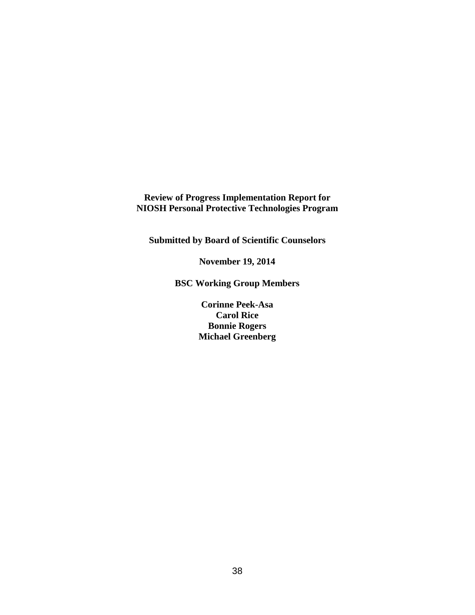**Review of Progress Implementation Report for NIOSH Personal Protective Technologies Program**

**Submitted by Board of Scientific Counselors**

**November 19, 2014**

**BSC Working Group Members**

**Corinne Peek-Asa Carol Rice Bonnie Rogers Michael Greenberg**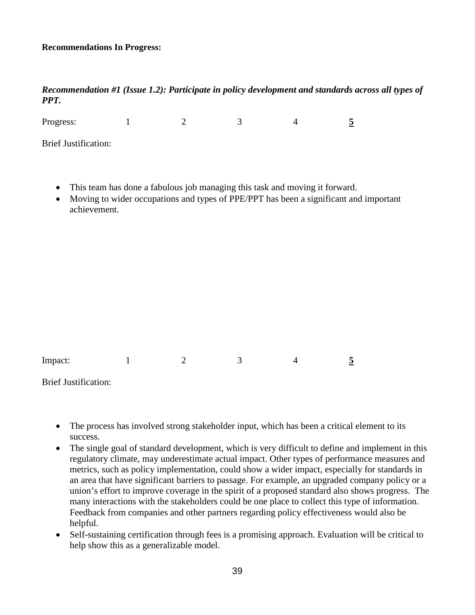### **Recommendations In Progress:**

### *Recommendation #1 (Issue 1.2): Participate in policy development and standards across all types of PPT.*

Progress: 1 2 3 4 5 Brief Justification:

- This team has done a fabulous job managing this task and moving it forward.
- Moving to wider occupations and types of PPE/PPT has been a significant and important achievement.

| Impact: | - |  |  |
|---------|---|--|--|
|         |   |  |  |

Brief Justification:

- The process has involved strong stakeholder input, which has been a critical element to its success.
- The single goal of standard development, which is very difficult to define and implement in this regulatory climate, may underestimate actual impact. Other types of performance measures and metrics, such as policy implementation, could show a wider impact, especially for standards in an area that have significant barriers to passage. For example, an upgraded company policy or a union's effort to improve coverage in the spirit of a proposed standard also shows progress. The many interactions with the stakeholders could be one place to collect this type of information. Feedback from companies and other partners regarding policy effectiveness would also be helpful.
- Self-sustaining certification through fees is a promising approach. Evaluation will be critical to help show this as a generalizable model.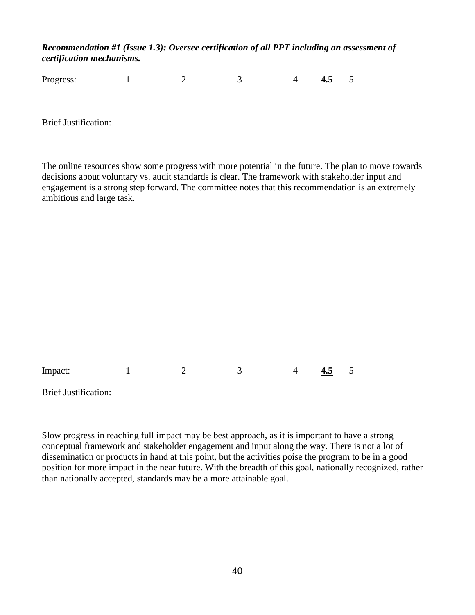## *Recommendation #1 (Issue 1.3): Oversee certification of all PPT including an assessment of certification mechanisms.*

Progress: 1 2 3 4 **4.5** 5

Brief Justification:

The online resources show some progress with more potential in the future. The plan to move towards decisions about voluntary vs. audit standards is clear. The framework with stakeholder input and engagement is a strong step forward. The committee notes that this recommendation is an extremely ambitious and large task.

| Impact: |  |  | 4.5 | $\overline{\phantom{0}}$ |
|---------|--|--|-----|--------------------------|
|         |  |  |     |                          |

Brief Justification:

Slow progress in reaching full impact may be best approach, as it is important to have a strong conceptual framework and stakeholder engagement and input along the way. There is not a lot of dissemination or products in hand at this point, but the activities poise the program to be in a good position for more impact in the near future. With the breadth of this goal, nationally recognized, rather than nationally accepted, standards may be a more attainable goal.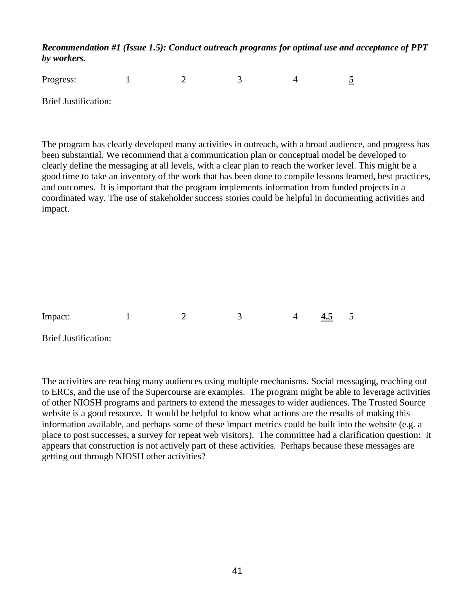*Recommendation #1 (Issue 1.5): Conduct outreach programs for optimal use and acceptance of PPT by workers.* 

| Progress:            |  |  |  |
|----------------------|--|--|--|
| Brief Justification: |  |  |  |

The program has clearly developed many activities in outreach, with a broad audience, and progress has been substantial. We recommend that a communication plan or conceptual model be developed to clearly define the messaging at all levels, with a clear plan to reach the worker level. This might be a good time to take an inventory of the work that has been done to compile lessons learned, best practices, and outcomes. It is important that the program implements information from funded projects in a coordinated way. The use of stakeholder success stories could be helpful in documenting activities and impact.

Impact: 1 2 3 4 4.5 5

Brief Justification:

The activities are reaching many audiences using multiple mechanisms. Social messaging, reaching out to ERCs, and the use of the Supercourse are examples. The program might be able to leverage activities of other NIOSH programs and partners to extend the messages to wider audiences. The Trusted Source website is a good resource. It would be helpful to know what actions are the results of making this information available, and perhaps some of these impact metrics could be built into the website (e.g. a place to post successes, a survey for repeat web visitors). The committee had a clarification question: It appears that construction is not actively part of these activities. Perhaps because these messages are getting out through NIOSH other activities?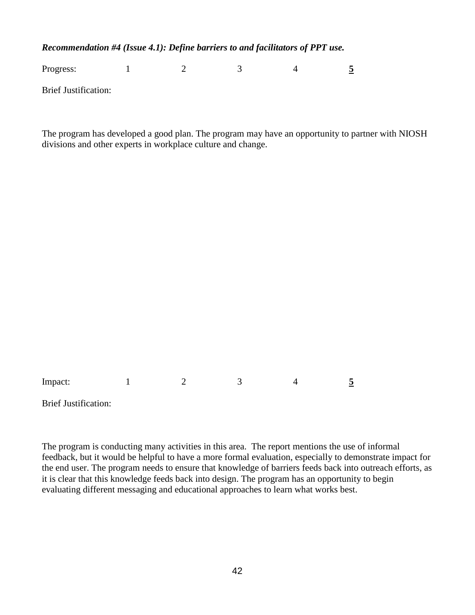*Recommendation #4 (Issue 4.1): Define barriers to and facilitators of PPT use.* 

Progress: 1 2 3 4 5

Brief Justification:

The program has developed a good plan. The program may have an opportunity to partner with NIOSH divisions and other experts in workplace culture and change.

Impact: 1 2 3 4 5

Brief Justification:

The program is conducting many activities in this area. The report mentions the use of informal feedback, but it would be helpful to have a more formal evaluation, especially to demonstrate impact for the end user. The program needs to ensure that knowledge of barriers feeds back into outreach efforts, as it is clear that this knowledge feeds back into design. The program has an opportunity to begin evaluating different messaging and educational approaches to learn what works best.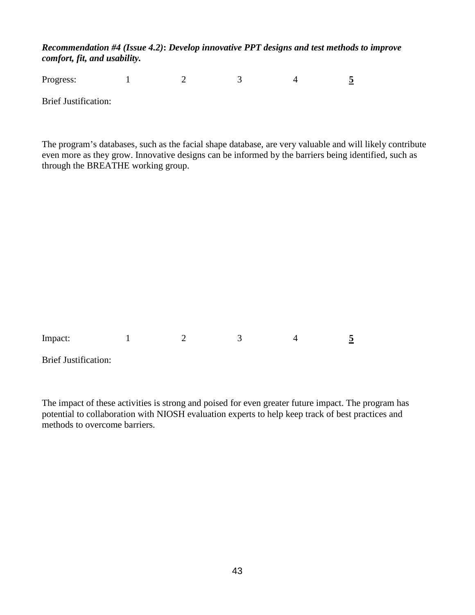### *Recommendation #4 (Issue 4.2)***:** *Develop innovative PPT designs and test methods to improve comfort, fit, and usability.*

| Progress: |  |  |  |
|-----------|--|--|--|
|           |  |  |  |

Brief Justification:

The program's databases, such as the facial shape database, are very valuable and will likely contribute even more as they grow. Innovative designs can be informed by the barriers being identified, such as through the BREATHE working group.

| Impact: |  |
|---------|--|
|---------|--|

Brief Justification:

The impact of these activities is strong and poised for even greater future impact. The program has potential to collaboration with NIOSH evaluation experts to help keep track of best practices and methods to overcome barriers.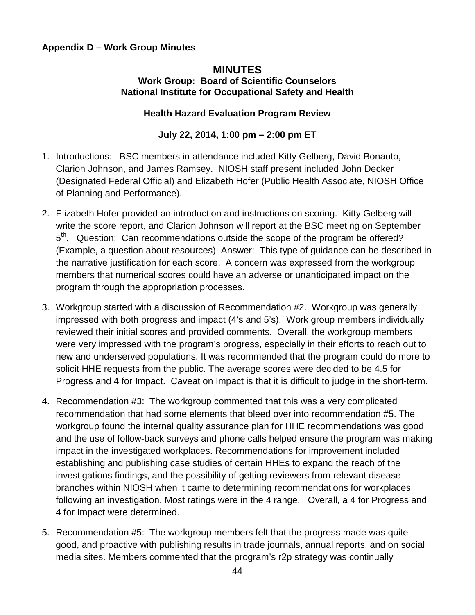## **Appendix D – Work Group Minutes**

### **MINUTES Work Group: Board of Scientific Counselors National Institute for Occupational Safety and Health**

## **Health Hazard Evaluation Program Review**

## **July 22, 2014, 1:00 pm – 2:00 pm ET**

- 1. Introductions: BSC members in attendance included Kitty Gelberg, David Bonauto, Clarion Johnson, and James Ramsey. NIOSH staff present included John Decker (Designated Federal Official) and Elizabeth Hofer (Public Health Associate, NIOSH Office of Planning and Performance).
- 2. Elizabeth Hofer provided an introduction and instructions on scoring. Kitty Gelberg will write the score report, and Clarion Johnson will report at the BSC meeting on September 5<sup>th</sup>. Question: Can recommendations outside the scope of the program be offered? (Example, a question about resources) Answer: This type of guidance can be described in the narrative justification for each score. A concern was expressed from the workgroup members that numerical scores could have an adverse or unanticipated impact on the program through the appropriation processes.
- 3. Workgroup started with a discussion of Recommendation #2. Workgroup was generally impressed with both progress and impact (4's and 5's). Work group members individually reviewed their initial scores and provided comments. Overall, the workgroup members were very impressed with the program's progress, especially in their efforts to reach out to new and underserved populations. It was recommended that the program could do more to solicit HHE requests from the public. The average scores were decided to be 4.5 for Progress and 4 for Impact. Caveat on Impact is that it is difficult to judge in the short-term.
- 4. Recommendation #3: The workgroup commented that this was a very complicated recommendation that had some elements that bleed over into recommendation #5. The workgroup found the internal quality assurance plan for HHE recommendations was good and the use of follow-back surveys and phone calls helped ensure the program was making impact in the investigated workplaces. Recommendations for improvement included establishing and publishing case studies of certain HHEs to expand the reach of the investigations findings, and the possibility of getting reviewers from relevant disease branches within NIOSH when it came to determining recommendations for workplaces following an investigation. Most ratings were in the 4 range. Overall, a 4 for Progress and 4 for Impact were determined.
- 5. Recommendation #5: The workgroup members felt that the progress made was quite good, and proactive with publishing results in trade journals, annual reports, and on social media sites. Members commented that the program's r2p strategy was continually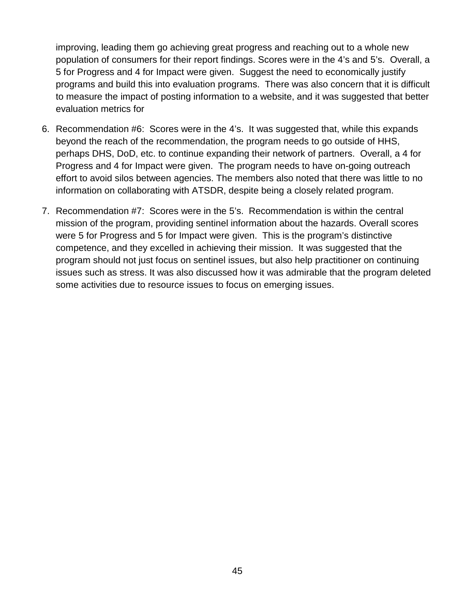improving, leading them go achieving great progress and reaching out to a whole new population of consumers for their report findings. Scores were in the 4's and 5's. Overall, a 5 for Progress and 4 for Impact were given. Suggest the need to economically justify programs and build this into evaluation programs. There was also concern that it is difficult to measure the impact of posting information to a website, and it was suggested that better evaluation metrics for

- 6. Recommendation #6: Scores were in the 4's. It was suggested that, while this expands beyond the reach of the recommendation, the program needs to go outside of HHS, perhaps DHS, DoD, etc. to continue expanding their network of partners. Overall, a 4 for Progress and 4 for Impact were given. The program needs to have on-going outreach effort to avoid silos between agencies. The members also noted that there was little to no information on collaborating with ATSDR, despite being a closely related program.
- 7. Recommendation #7: Scores were in the 5's. Recommendation is within the central mission of the program, providing sentinel information about the hazards. Overall scores were 5 for Progress and 5 for Impact were given. This is the program's distinctive competence, and they excelled in achieving their mission. It was suggested that the program should not just focus on sentinel issues, but also help practitioner on continuing issues such as stress. It was also discussed how it was admirable that the program deleted some activities due to resource issues to focus on emerging issues.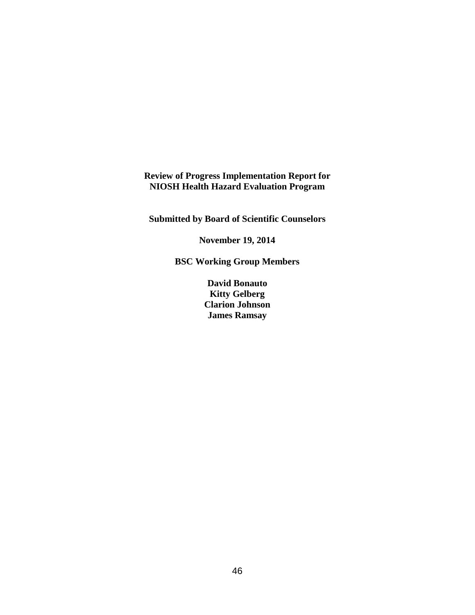**Review of Progress Implementation Report for NIOSH Health Hazard Evaluation Program**

**Submitted by Board of Scientific Counselors**

**November 19, 2014**

**BSC Working Group Members**

**David Bonauto Kitty Gelberg Clarion Johnson James Ramsay**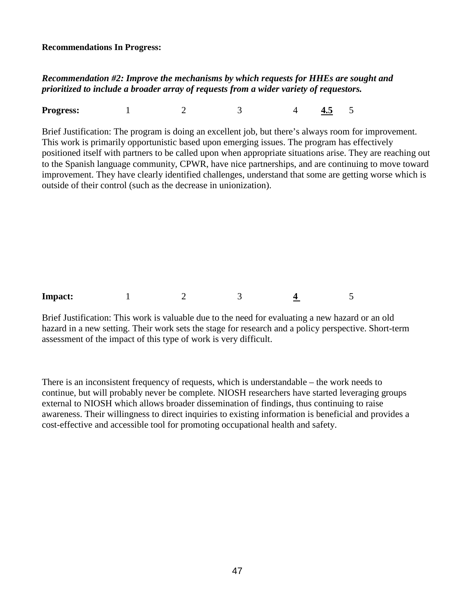**Recommendations In Progress:**

## *Recommendation #2: Improve the mechanisms by which requests for HHEs are sought and prioritized to include a broader array of requests from a wider variety of requestors.*

**Progress:** 1 2 3 4 **4.5** 5

Brief Justification: The program is doing an excellent job, but there's always room for improvement. This work is primarily opportunistic based upon emerging issues. The program has effectively positioned itself with partners to be called upon when appropriate situations arise. They are reaching out to the Spanish language community, CPWR, have nice partnerships, and are continuing to move toward improvement. They have clearly identified challenges, understand that some are getting worse which is outside of their control (such as the decrease in unionization).



Brief Justification: This work is valuable due to the need for evaluating a new hazard or an old hazard in a new setting. Their work sets the stage for research and a policy perspective. Short-term assessment of the impact of this type of work is very difficult.

There is an inconsistent frequency of requests, which is understandable – the work needs to continue, but will probably never be complete. NIOSH researchers have started leveraging groups external to NIOSH which allows broader dissemination of findings, thus continuing to raise awareness. Their willingness to direct inquiries to existing information is beneficial and provides a cost-effective and accessible tool for promoting occupational health and safety.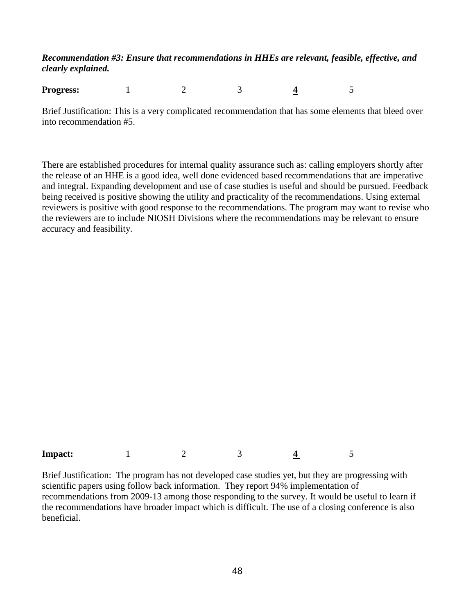## *Recommendation #3: Ensure that recommendations in HHEs are relevant, feasible, effective, and clearly explained.*

**Progress:** 1 2 3 4 5

Brief Justification: This is a very complicated recommendation that has some elements that bleed over into recommendation #5.

There are established procedures for internal quality assurance such as: calling employers shortly after the release of an HHE is a good idea, well done evidenced based recommendations that are imperative and integral. Expanding development and use of case studies is useful and should be pursued. Feedback being received is positive showing the utility and practicality of the recommendations. Using external reviewers is positive with good response to the recommendations. The program may want to revise who the reviewers are to include NIOSH Divisions where the recommendations may be relevant to ensure accuracy and feasibility.

| <b>Impact:</b> |  |  |  |
|----------------|--|--|--|
|                |  |  |  |

Brief Justification: The program has not developed case studies yet, but they are progressing with scientific papers using follow back information. They report 94% implementation of recommendations from 2009-13 among those responding to the survey. It would be useful to learn if the recommendations have broader impact which is difficult. The use of a closing conference is also beneficial.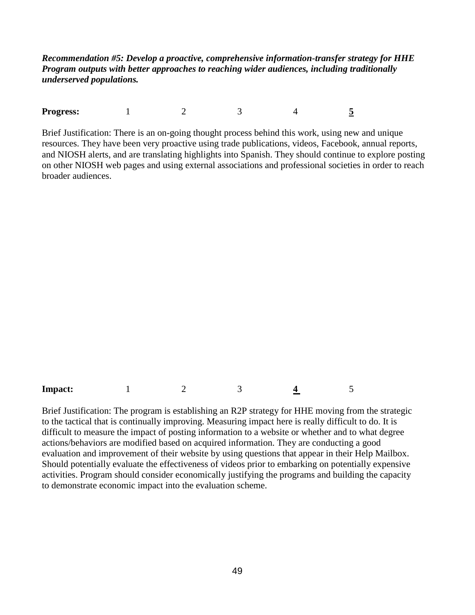*Recommendation #5: Develop a proactive, comprehensive information-transfer strategy for HHE Program outputs with better approaches to reaching wider audiences, including traditionally underserved populations.*

**Progress:** 1 2 3 4 5

Brief Justification: There is an on-going thought process behind this work, using new and unique resources. They have been very proactive using trade publications, videos, Facebook, annual reports, and NIOSH alerts, and are translating highlights into Spanish. They should continue to explore posting on other NIOSH web pages and using external associations and professional societies in order to reach broader audiences.

**Impact:** 1 2 3 4 5

Brief Justification: The program is establishing an R2P strategy for HHE moving from the strategic to the tactical that is continually improving. Measuring impact here is really difficult to do. It is difficult to measure the impact of posting information to a website or whether and to what degree actions/behaviors are modified based on acquired information. They are conducting a good evaluation and improvement of their website by using questions that appear in their Help Mailbox. Should potentially evaluate the effectiveness of videos prior to embarking on potentially expensive activities. Program should consider economically justifying the programs and building the capacity to demonstrate economic impact into the evaluation scheme.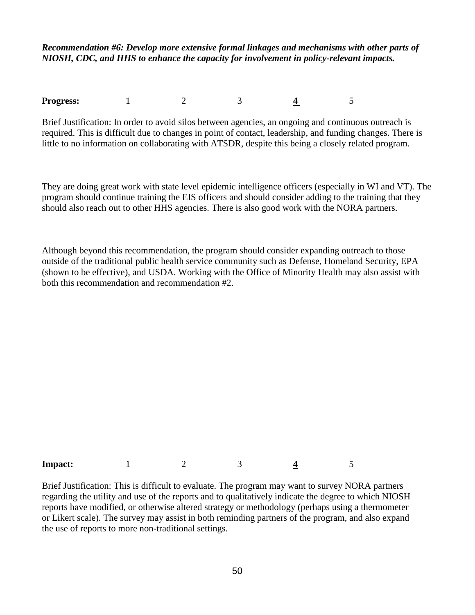*Recommendation #6: Develop more extensive formal linkages and mechanisms with other parts of NIOSH, CDC, and HHS to enhance the capacity for involvement in policy-relevant impacts.*

**Progress:** 1 2 3 4 5

Brief Justification: In order to avoid silos between agencies, an ongoing and continuous outreach is required. This is difficult due to changes in point of contact, leadership, and funding changes. There is little to no information on collaborating with ATSDR, despite this being a closely related program.

They are doing great work with state level epidemic intelligence officers (especially in WI and VT). The program should continue training the EIS officers and should consider adding to the training that they should also reach out to other HHS agencies. There is also good work with the NORA partners.

Although beyond this recommendation, the program should consider expanding outreach to those outside of the traditional public health service community such as Defense, Homeland Security, EPA (shown to be effective), and USDA. Working with the Office of Minority Health may also assist with both this recommendation and recommendation #2.

**Impact:** 1 2 3 4 5

Brief Justification: This is difficult to evaluate. The program may want to survey NORA partners regarding the utility and use of the reports and to qualitatively indicate the degree to which NIOSH reports have modified, or otherwise altered strategy or methodology (perhaps using a thermometer or Likert scale). The survey may assist in both reminding partners of the program, and also expand the use of reports to more non-traditional settings.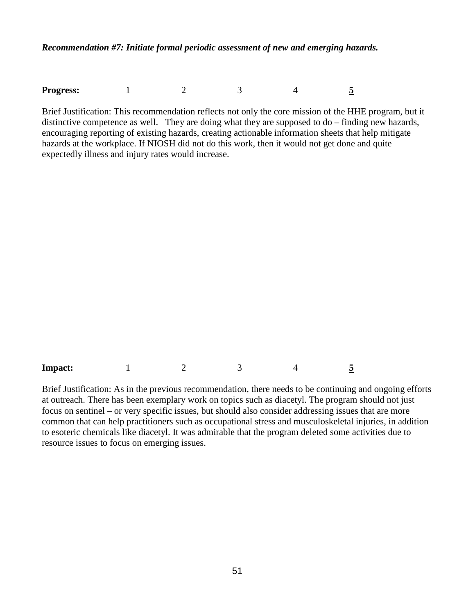*Recommendation #7: Initiate formal periodic assessment of new and emerging hazards.*

| <b>Progress:</b> |  |  |
|------------------|--|--|
|                  |  |  |

Brief Justification: This recommendation reflects not only the core mission of the HHE program, but it distinctive competence as well. They are doing what they are supposed to do – finding new hazards, encouraging reporting of existing hazards, creating actionable information sheets that help mitigate hazards at the workplace. If NIOSH did not do this work, then it would not get done and quite expectedly illness and injury rates would increase.

| <b>Impact:</b> |  |  |  |  |  |
|----------------|--|--|--|--|--|
|----------------|--|--|--|--|--|

Brief Justification: As in the previous recommendation, there needs to be continuing and ongoing efforts at outreach. There has been exemplary work on topics such as diacetyl. The program should not just focus on sentinel – or very specific issues, but should also consider addressing issues that are more common that can help practitioners such as occupational stress and musculoskeletal injuries, in addition to esoteric chemicals like diacetyl. It was admirable that the program deleted some activities due to resource issues to focus on emerging issues.